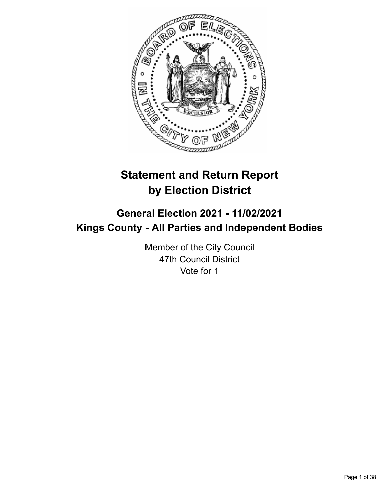

# **Statement and Return Report by Election District**

## **General Election 2021 - 11/02/2021 Kings County - All Parties and Independent Bodies**

Member of the City Council 47th Council District Vote for 1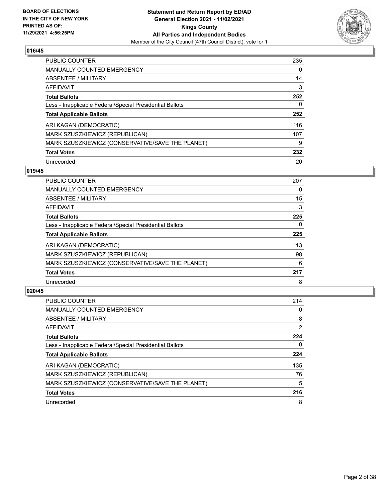

| PUBLIC COUNTER                                           | 235 |
|----------------------------------------------------------|-----|
| <b>MANUALLY COUNTED EMERGENCY</b>                        | 0   |
| ABSENTEE / MILITARY                                      | 14  |
| AFFIDAVIT                                                | 3   |
| <b>Total Ballots</b>                                     | 252 |
| Less - Inapplicable Federal/Special Presidential Ballots | 0   |
| <b>Total Applicable Ballots</b>                          | 252 |
| ARI KAGAN (DEMOCRATIC)                                   | 116 |
| MARK SZUSZKIEWICZ (REPUBLICAN)                           | 107 |
| MARK SZUSZKIEWICZ (CONSERVATIVE/SAVE THE PLANET)         | 9   |
| <b>Total Votes</b>                                       | 232 |
| Unrecorded                                               | 20  |

#### **019/45**

| PUBLIC COUNTER                                           | 207 |
|----------------------------------------------------------|-----|
| MANUALLY COUNTED EMERGENCY                               | 0   |
| ABSENTEE / MILITARY                                      | 15  |
| <b>AFFIDAVIT</b>                                         | 3   |
| <b>Total Ballots</b>                                     | 225 |
| Less - Inapplicable Federal/Special Presidential Ballots | 0   |
| <b>Total Applicable Ballots</b>                          | 225 |
| ARI KAGAN (DEMOCRATIC)                                   | 113 |
| MARK SZUSZKIEWICZ (REPUBLICAN)                           | 98  |
| MARK SZUSZKIEWICZ (CONSERVATIVE/SAVE THE PLANET)         | 6   |
| <b>Total Votes</b>                                       | 217 |
| Unrecorded                                               | 8   |

| <b>PUBLIC COUNTER</b>                                    | 214 |
|----------------------------------------------------------|-----|
| <b>MANUALLY COUNTED EMERGENCY</b>                        | 0   |
| ABSENTEE / MILITARY                                      | 8   |
| AFFIDAVIT                                                | 2   |
| <b>Total Ballots</b>                                     | 224 |
| Less - Inapplicable Federal/Special Presidential Ballots | 0   |
| <b>Total Applicable Ballots</b>                          | 224 |
| ARI KAGAN (DEMOCRATIC)                                   | 135 |
| MARK SZUSZKIEWICZ (REPUBLICAN)                           | 76  |
| MARK SZUSZKIEWICZ (CONSERVATIVE/SAVE THE PLANET)         | 5   |
| <b>Total Votes</b>                                       | 216 |
| Unrecorded                                               | 8   |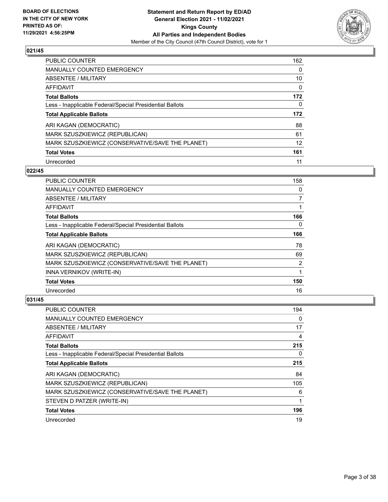

| PUBLIC COUNTER                                           | 162 |
|----------------------------------------------------------|-----|
| <b>MANUALLY COUNTED EMERGENCY</b>                        | 0   |
| ABSENTEE / MILITARY                                      | 10  |
| AFFIDAVIT                                                | 0   |
| <b>Total Ballots</b>                                     | 172 |
| Less - Inapplicable Federal/Special Presidential Ballots | 0   |
|                                                          |     |
| <b>Total Applicable Ballots</b>                          | 172 |
| ARI KAGAN (DEMOCRATIC)                                   | 88  |
| MARK SZUSZKIEWICZ (REPUBLICAN)                           | 61  |
| MARK SZUSZKIEWICZ (CONSERVATIVE/SAVE THE PLANET)         | 12  |
| <b>Total Votes</b>                                       | 161 |

#### **022/45**

| <b>PUBLIC COUNTER</b>                                    | 158      |
|----------------------------------------------------------|----------|
| MANUALLY COUNTED EMERGENCY                               | 0        |
| ABSENTEE / MILITARY                                      | 7        |
| AFFIDAVIT                                                |          |
| <b>Total Ballots</b>                                     | 166      |
| Less - Inapplicable Federal/Special Presidential Ballots | $\Omega$ |
| <b>Total Applicable Ballots</b>                          | 166      |
| ARI KAGAN (DEMOCRATIC)                                   | 78       |
| MARK SZUSZKIEWICZ (REPUBLICAN)                           | 69       |
| MARK SZUSZKIEWICZ (CONSERVATIVE/SAVE THE PLANET)         | 2        |
| INNA VERNIKOV (WRITE-IN)                                 | 1        |
| <b>Total Votes</b>                                       | 150      |
| Unrecorded                                               | 16       |

| <b>PUBLIC COUNTER</b>                                    | 194 |
|----------------------------------------------------------|-----|
| <b>MANUALLY COUNTED EMERGENCY</b>                        | 0   |
| ABSENTEE / MILITARY                                      | 17  |
| AFFIDAVIT                                                | 4   |
| <b>Total Ballots</b>                                     | 215 |
| Less - Inapplicable Federal/Special Presidential Ballots | 0   |
| <b>Total Applicable Ballots</b>                          | 215 |
| ARI KAGAN (DEMOCRATIC)                                   | 84  |
| MARK SZUSZKIEWICZ (REPUBLICAN)                           | 105 |
| MARK SZUSZKIEWICZ (CONSERVATIVE/SAVE THE PLANET)         | 6   |
| STEVEN D PATZER (WRITE-IN)                               | 1   |
| <b>Total Votes</b>                                       | 196 |
| Unrecorded                                               | 19  |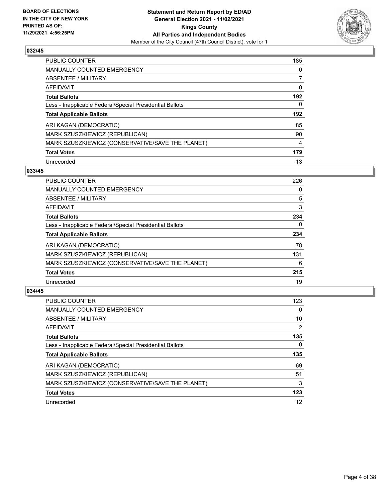

| <b>PUBLIC COUNTER</b>                                    | 185 |
|----------------------------------------------------------|-----|
| MANUALLY COUNTED EMERGENCY                               | 0   |
| ABSENTEE / MILITARY                                      | 7   |
| AFFIDAVIT                                                | 0   |
| <b>Total Ballots</b>                                     | 192 |
| Less - Inapplicable Federal/Special Presidential Ballots | 0   |
|                                                          |     |
| <b>Total Applicable Ballots</b>                          | 192 |
| ARI KAGAN (DEMOCRATIC)                                   | 85  |
| MARK SZUSZKIEWICZ (REPUBLICAN)                           | 90  |
| MARK SZUSZKIEWICZ (CONSERVATIVE/SAVE THE PLANET)         | 4   |
| <b>Total Votes</b>                                       | 179 |

#### **033/45**

| <b>PUBLIC COUNTER</b>                                    | 226 |
|----------------------------------------------------------|-----|
| <b>MANUALLY COUNTED EMERGENCY</b>                        | 0   |
| ABSENTEE / MILITARY                                      | 5   |
| <b>AFFIDAVIT</b>                                         | 3   |
| <b>Total Ballots</b>                                     | 234 |
| Less - Inapplicable Federal/Special Presidential Ballots | 0   |
| <b>Total Applicable Ballots</b>                          | 234 |
| ARI KAGAN (DEMOCRATIC)                                   | 78  |
| MARK SZUSZKIEWICZ (REPUBLICAN)                           | 131 |
| MARK SZUSZKIEWICZ (CONSERVATIVE/SAVE THE PLANET)         | 6   |
| <b>Total Votes</b>                                       | 215 |
| Unrecorded                                               | 19  |

| <b>PUBLIC COUNTER</b>                                    | 123            |
|----------------------------------------------------------|----------------|
| <b>MANUALLY COUNTED EMERGENCY</b>                        | $\Omega$       |
| ABSENTEE / MILITARY                                      | 10             |
| AFFIDAVIT                                                | $\overline{2}$ |
| <b>Total Ballots</b>                                     | 135            |
| Less - Inapplicable Federal/Special Presidential Ballots | 0              |
| <b>Total Applicable Ballots</b>                          | 135            |
| ARI KAGAN (DEMOCRATIC)                                   | 69             |
| MARK SZUSZKIEWICZ (REPUBLICAN)                           | 51             |
| MARK SZUSZKIEWICZ (CONSERVATIVE/SAVE THE PLANET)         | 3              |
| <b>Total Votes</b>                                       | 123            |
| Unrecorded                                               | 12             |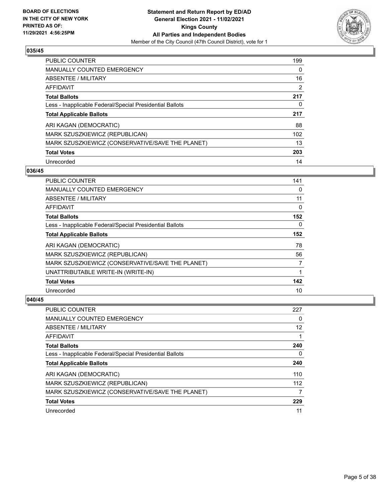

| <b>PUBLIC COUNTER</b>                                    | 199 |
|----------------------------------------------------------|-----|
| <b>MANUALLY COUNTED EMERGENCY</b>                        | 0   |
| ABSENTEE / MILITARY                                      | 16  |
| AFFIDAVIT                                                | 2   |
| <b>Total Ballots</b>                                     | 217 |
| Less - Inapplicable Federal/Special Presidential Ballots | 0   |
| <b>Total Applicable Ballots</b>                          | 217 |
| ARI KAGAN (DEMOCRATIC)                                   | 88  |
| MARK SZUSZKIEWICZ (REPUBLICAN)                           | 102 |
| MARK SZUSZKIEWICZ (CONSERVATIVE/SAVE THE PLANET)         | 13  |
| <b>Total Votes</b>                                       | 203 |
| Unrecorded                                               | 14  |

#### **036/45**

| <b>PUBLIC COUNTER</b>                                    | 141      |
|----------------------------------------------------------|----------|
| <b>MANUALLY COUNTED EMERGENCY</b>                        | 0        |
| ABSENTEE / MILITARY                                      | 11       |
| AFFIDAVIT                                                | 0        |
| <b>Total Ballots</b>                                     | 152      |
| Less - Inapplicable Federal/Special Presidential Ballots | $\Omega$ |
| <b>Total Applicable Ballots</b>                          | 152      |
| ARI KAGAN (DEMOCRATIC)                                   | 78       |
| MARK SZUSZKIEWICZ (REPUBLICAN)                           | 56       |
| MARK SZUSZKIEWICZ (CONSERVATIVE/SAVE THE PLANET)         | 7        |
| UNATTRIBUTABLE WRITE-IN (WRITE-IN)                       |          |
| <b>Total Votes</b>                                       | 142      |
| Unrecorded                                               | 10       |

| PUBLIC COUNTER                                           | 227 |
|----------------------------------------------------------|-----|
| <b>MANUALLY COUNTED EMERGENCY</b>                        | 0   |
| ABSENTEE / MILITARY                                      | 12  |
| AFFIDAVIT                                                |     |
| <b>Total Ballots</b>                                     | 240 |
| Less - Inapplicable Federal/Special Presidential Ballots | 0   |
| <b>Total Applicable Ballots</b>                          | 240 |
| ARI KAGAN (DEMOCRATIC)                                   | 110 |
| MARK SZUSZKIEWICZ (REPUBLICAN)                           | 112 |
| MARK SZUSZKIEWICZ (CONSERVATIVE/SAVE THE PLANET)         |     |
| <b>Total Votes</b>                                       | 229 |
| Unrecorded                                               | 11  |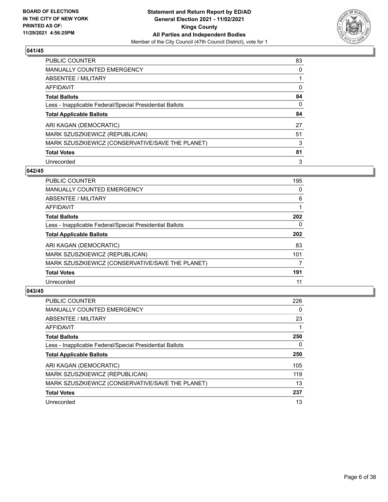

| PUBLIC COUNTER                                           | 83 |
|----------------------------------------------------------|----|
| <b>MANUALLY COUNTED EMERGENCY</b>                        | 0  |
| ABSENTEE / MILITARY                                      |    |
| AFFIDAVIT                                                | 0  |
| <b>Total Ballots</b>                                     | 84 |
| Less - Inapplicable Federal/Special Presidential Ballots | 0  |
| <b>Total Applicable Ballots</b>                          | 84 |
| ARI KAGAN (DEMOCRATIC)                                   | 27 |
| MARK SZUSZKIEWICZ (REPUBLICAN)                           | 51 |
| MARK SZUSZKIEWICZ (CONSERVATIVE/SAVE THE PLANET)         | 3  |
| <b>Total Votes</b>                                       | 81 |
| Unrecorded                                               | 3  |

#### **042/45**

| <b>PUBLIC COUNTER</b>                                    | 195      |
|----------------------------------------------------------|----------|
| <b>MANUALLY COUNTED EMERGENCY</b>                        | 0        |
| ABSENTEE / MILITARY                                      | 6        |
| <b>AFFIDAVIT</b>                                         |          |
| <b>Total Ballots</b>                                     | 202      |
| Less - Inapplicable Federal/Special Presidential Ballots | $\Omega$ |
| <b>Total Applicable Ballots</b>                          | 202      |
| ARI KAGAN (DEMOCRATIC)                                   | 83       |
| MARK SZUSZKIEWICZ (REPUBLICAN)                           | 101      |
| MARK SZUSZKIEWICZ (CONSERVATIVE/SAVE THE PLANET)         | 7        |
| <b>Total Votes</b>                                       | 191      |
| Unrecorded                                               | 11       |

| <b>PUBLIC COUNTER</b>                                    | 226      |
|----------------------------------------------------------|----------|
| <b>MANUALLY COUNTED EMERGENCY</b>                        | $\Omega$ |
| ABSENTEE / MILITARY                                      | 23       |
| AFFIDAVIT                                                |          |
| <b>Total Ballots</b>                                     | 250      |
| Less - Inapplicable Federal/Special Presidential Ballots | 0        |
| <b>Total Applicable Ballots</b>                          | 250      |
| ARI KAGAN (DEMOCRATIC)                                   | 105      |
| MARK SZUSZKIEWICZ (REPUBLICAN)                           | 119      |
| MARK SZUSZKIEWICZ (CONSERVATIVE/SAVE THE PLANET)         | 13       |
| <b>Total Votes</b>                                       | 237      |
| Unrecorded                                               | 13       |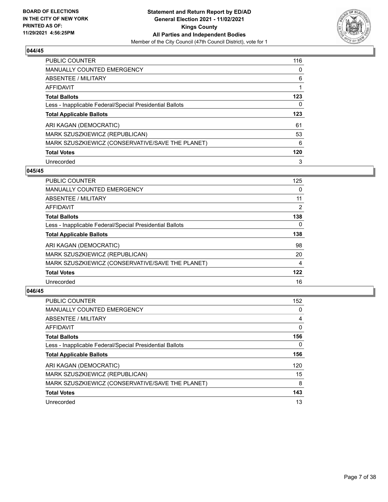

| PUBLIC COUNTER                                           | 116 |
|----------------------------------------------------------|-----|
| <b>MANUALLY COUNTED EMERGENCY</b>                        | 0   |
| ABSENTEE / MILITARY                                      | 6   |
| AFFIDAVIT                                                | 1   |
| <b>Total Ballots</b>                                     | 123 |
| Less - Inapplicable Federal/Special Presidential Ballots | 0   |
| <b>Total Applicable Ballots</b>                          | 123 |
|                                                          |     |
| ARI KAGAN (DEMOCRATIC)                                   | 61  |
| MARK SZUSZKIEWICZ (REPUBLICAN)                           | 53  |
| MARK SZUSZKIEWICZ (CONSERVATIVE/SAVE THE PLANET)         | 6   |
| <b>Total Votes</b>                                       | 120 |

#### **045/45**

| <b>PUBLIC COUNTER</b>                                    | 125      |
|----------------------------------------------------------|----------|
| <b>MANUALLY COUNTED EMERGENCY</b>                        | 0        |
| ABSENTEE / MILITARY                                      | 11       |
| <b>AFFIDAVIT</b>                                         | 2        |
| <b>Total Ballots</b>                                     | 138      |
| Less - Inapplicable Federal/Special Presidential Ballots | $\Omega$ |
| <b>Total Applicable Ballots</b>                          | 138      |
| ARI KAGAN (DEMOCRATIC)                                   | 98       |
| MARK SZUSZKIEWICZ (REPUBLICAN)                           | 20       |
| MARK SZUSZKIEWICZ (CONSERVATIVE/SAVE THE PLANET)         | 4        |
| <b>Total Votes</b>                                       | 122      |
| Unrecorded                                               | 16       |

| <b>PUBLIC COUNTER</b>                                    | 152 |
|----------------------------------------------------------|-----|
| <b>MANUALLY COUNTED EMERGENCY</b>                        | 0   |
| ABSENTEE / MILITARY                                      | 4   |
| <b>AFFIDAVIT</b>                                         | 0   |
| <b>Total Ballots</b>                                     | 156 |
| Less - Inapplicable Federal/Special Presidential Ballots | 0   |
| <b>Total Applicable Ballots</b>                          | 156 |
| ARI KAGAN (DEMOCRATIC)                                   | 120 |
| MARK SZUSZKIEWICZ (REPUBLICAN)                           | 15  |
| MARK SZUSZKIEWICZ (CONSERVATIVE/SAVE THE PLANET)         | 8   |
| <b>Total Votes</b>                                       | 143 |
| Unrecorded                                               | 13  |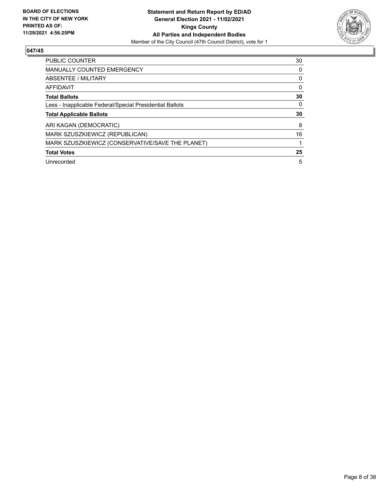

| <b>PUBLIC COUNTER</b>                                    | 30 |
|----------------------------------------------------------|----|
| <b>MANUALLY COUNTED EMERGENCY</b>                        | 0  |
| <b>ABSENTEE / MILITARY</b>                               | 0  |
| <b>AFFIDAVIT</b>                                         | 0  |
| <b>Total Ballots</b>                                     | 30 |
| Less - Inapplicable Federal/Special Presidential Ballots | 0  |
| <b>Total Applicable Ballots</b>                          | 30 |
| ARI KAGAN (DEMOCRATIC)                                   | 8  |
| MARK SZUSZKIEWICZ (REPUBLICAN)                           | 16 |
| MARK SZUSZKIEWICZ (CONSERVATIVE/SAVE THE PLANET)         |    |
| <b>Total Votes</b>                                       | 25 |
|                                                          |    |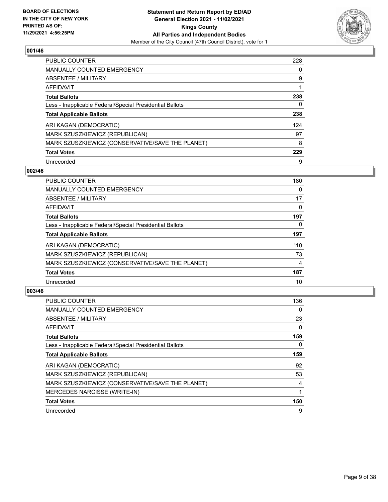

| PUBLIC COUNTER                                           | 228 |
|----------------------------------------------------------|-----|
| <b>MANUALLY COUNTED EMERGENCY</b>                        | 0   |
| ABSENTEE / MILITARY                                      | 9   |
| <b>AFFIDAVIT</b>                                         | 1   |
| <b>Total Ballots</b>                                     | 238 |
| Less - Inapplicable Federal/Special Presidential Ballots | 0   |
| <b>Total Applicable Ballots</b>                          | 238 |
| ARI KAGAN (DEMOCRATIC)                                   | 124 |
| MARK SZUSZKIEWICZ (REPUBLICAN)                           | 97  |
|                                                          |     |
| MARK SZUSZKIEWICZ (CONSERVATIVE/SAVE THE PLANET)         | 8   |
| <b>Total Votes</b>                                       | 229 |

#### **002/46**

| <b>PUBLIC COUNTER</b>                                    | 180 |
|----------------------------------------------------------|-----|
| <b>MANUALLY COUNTED EMERGENCY</b>                        | 0   |
| ABSENTEE / MILITARY                                      | 17  |
| AFFIDAVIT                                                | 0   |
| <b>Total Ballots</b>                                     | 197 |
| Less - Inapplicable Federal/Special Presidential Ballots | 0   |
| <b>Total Applicable Ballots</b>                          | 197 |
| ARI KAGAN (DEMOCRATIC)                                   | 110 |
| MARK SZUSZKIEWICZ (REPUBLICAN)                           | 73  |
| MARK SZUSZKIEWICZ (CONSERVATIVE/SAVE THE PLANET)         | 4   |
| <b>Total Votes</b>                                       | 187 |
| Unrecorded                                               | 10  |

| PUBLIC COUNTER                                           | 136 |
|----------------------------------------------------------|-----|
| <b>MANUALLY COUNTED EMERGENCY</b>                        | 0   |
| ABSENTEE / MILITARY                                      | 23  |
| AFFIDAVIT                                                | 0   |
| <b>Total Ballots</b>                                     | 159 |
| Less - Inapplicable Federal/Special Presidential Ballots | 0   |
| <b>Total Applicable Ballots</b>                          | 159 |
| ARI KAGAN (DEMOCRATIC)                                   | 92  |
| MARK SZUSZKIEWICZ (REPUBLICAN)                           | 53  |
| MARK SZUSZKIEWICZ (CONSERVATIVE/SAVE THE PLANET)         | 4   |
| MERCEDES NARCISSE (WRITE-IN)                             |     |
| <b>Total Votes</b>                                       | 150 |
| Unrecorded                                               | 9   |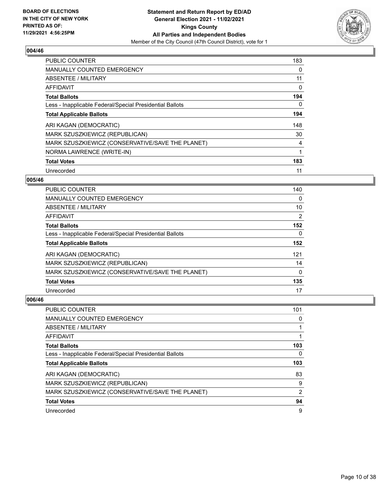

| <b>PUBLIC COUNTER</b>                                    | 183 |
|----------------------------------------------------------|-----|
| <b>MANUALLY COUNTED EMERGENCY</b>                        | 0   |
| ABSENTEE / MILITARY                                      | 11  |
| <b>AFFIDAVIT</b>                                         | 0   |
| <b>Total Ballots</b>                                     | 194 |
| Less - Inapplicable Federal/Special Presidential Ballots | 0   |
| <b>Total Applicable Ballots</b>                          | 194 |
| ARI KAGAN (DEMOCRATIC)                                   | 148 |
| MARK SZUSZKIEWICZ (REPUBLICAN)                           | 30  |
| MARK SZUSZKIEWICZ (CONSERVATIVE/SAVE THE PLANET)         | 4   |
| NORMA LAWRENCE (WRITE-IN)                                | 1   |
| <b>Total Votes</b>                                       | 183 |
| Unrecorded                                               | 11  |

## **005/46**

| <b>PUBLIC COUNTER</b>                                    | 140      |
|----------------------------------------------------------|----------|
| <b>MANUALLY COUNTED EMERGENCY</b>                        | 0        |
| ABSENTEE / MILITARY                                      | 10       |
| <b>AFFIDAVIT</b>                                         | 2        |
| <b>Total Ballots</b>                                     | 152      |
| Less - Inapplicable Federal/Special Presidential Ballots | $\Omega$ |
| <b>Total Applicable Ballots</b>                          | 152      |
| ARI KAGAN (DEMOCRATIC)                                   | 121      |
| MARK SZUSZKIEWICZ (REPUBLICAN)                           | 14       |
| MARK SZUSZKIEWICZ (CONSERVATIVE/SAVE THE PLANET)         | 0        |
| <b>Total Votes</b>                                       | 135      |
| Unrecorded                                               | 17       |

| <b>PUBLIC COUNTER</b>                                    | 101            |
|----------------------------------------------------------|----------------|
| <b>MANUALLY COUNTED EMERGENCY</b>                        | 0              |
| ABSENTEE / MILITARY                                      |                |
| AFFIDAVIT                                                |                |
| <b>Total Ballots</b>                                     | 103            |
| Less - Inapplicable Federal/Special Presidential Ballots | 0              |
| <b>Total Applicable Ballots</b>                          | 103            |
| ARI KAGAN (DEMOCRATIC)                                   | 83             |
|                                                          |                |
| MARK SZUSZKIEWICZ (REPUBLICAN)                           | 9              |
| MARK SZUSZKIEWICZ (CONSERVATIVE/SAVE THE PLANET)         | $\overline{2}$ |
| <b>Total Votes</b>                                       | 94             |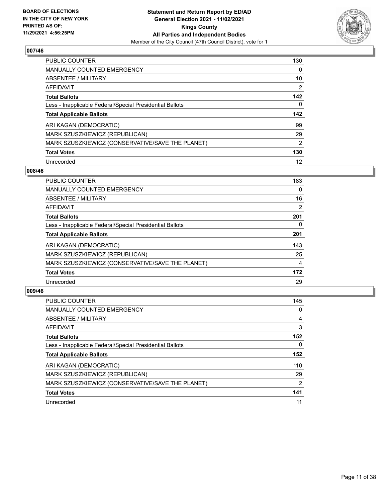

| PUBLIC COUNTER                                           | 130            |
|----------------------------------------------------------|----------------|
| <b>MANUALLY COUNTED EMERGENCY</b>                        | 0              |
| ABSENTEE / MILITARY                                      | 10             |
| <b>AFFIDAVIT</b>                                         | $\overline{2}$ |
| <b>Total Ballots</b>                                     | 142            |
| Less - Inapplicable Federal/Special Presidential Ballots | 0              |
| <b>Total Applicable Ballots</b>                          | 142            |
|                                                          |                |
| ARI KAGAN (DEMOCRATIC)                                   | 99             |
| MARK SZUSZKIEWICZ (REPUBLICAN)                           | 29             |
| MARK SZUSZKIEWICZ (CONSERVATIVE/SAVE THE PLANET)         | $\overline{2}$ |
| <b>Total Votes</b>                                       | 130            |

#### **008/46**

| <b>PUBLIC COUNTER</b>                                    | 183 |
|----------------------------------------------------------|-----|
| <b>MANUALLY COUNTED EMERGENCY</b>                        | 0   |
| ABSENTEE / MILITARY                                      | 16  |
| AFFIDAVIT                                                | 2   |
| <b>Total Ballots</b>                                     | 201 |
| Less - Inapplicable Federal/Special Presidential Ballots | 0   |
| <b>Total Applicable Ballots</b>                          | 201 |
| ARI KAGAN (DEMOCRATIC)                                   | 143 |
| MARK SZUSZKIEWICZ (REPUBLICAN)                           | 25  |
| MARK SZUSZKIEWICZ (CONSERVATIVE/SAVE THE PLANET)         | 4   |
| <b>Total Votes</b>                                       | 172 |
| Unrecorded                                               | 29  |

| <b>PUBLIC COUNTER</b>                                    | 145           |
|----------------------------------------------------------|---------------|
| <b>MANUALLY COUNTED EMERGENCY</b>                        | 0             |
| ABSENTEE / MILITARY                                      | 4             |
| AFFIDAVIT                                                | 3             |
| <b>Total Ballots</b>                                     | 152           |
| Less - Inapplicable Federal/Special Presidential Ballots | $\Omega$      |
| <b>Total Applicable Ballots</b>                          | 152           |
| ARI KAGAN (DEMOCRATIC)                                   | 110           |
| MARK SZUSZKIEWICZ (REPUBLICAN)                           | 29            |
| MARK SZUSZKIEWICZ (CONSERVATIVE/SAVE THE PLANET)         | $\mathcal{P}$ |
| <b>Total Votes</b>                                       | 141           |
| Unrecorded                                               | 11            |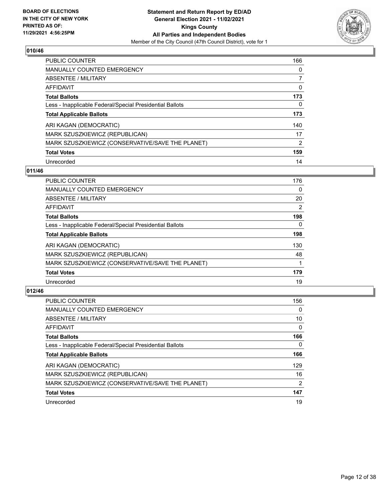

| PUBLIC COUNTER                                           | 166            |
|----------------------------------------------------------|----------------|
| <b>MANUALLY COUNTED EMERGENCY</b>                        | 0              |
| ABSENTEE / MILITARY                                      | 7              |
| <b>AFFIDAVIT</b>                                         | 0              |
| <b>Total Ballots</b>                                     | 173            |
| Less - Inapplicable Federal/Special Presidential Ballots | 0              |
| <b>Total Applicable Ballots</b>                          | 173            |
| ARI KAGAN (DEMOCRATIC)                                   | 140            |
| MARK SZUSZKIEWICZ (REPUBLICAN)                           | 17             |
| MARK SZUSZKIEWICZ (CONSERVATIVE/SAVE THE PLANET)         | $\overline{2}$ |
| <b>Total Votes</b>                                       | 159            |
| Unrecorded                                               | 14             |

#### **011/46**

| <b>PUBLIC COUNTER</b>                                    | 176            |
|----------------------------------------------------------|----------------|
| <b>MANUALLY COUNTED EMERGENCY</b>                        | $\Omega$       |
| ABSENTEE / MILITARY                                      | 20             |
| <b>AFFIDAVIT</b>                                         | $\overline{2}$ |
| <b>Total Ballots</b>                                     | 198            |
| Less - Inapplicable Federal/Special Presidential Ballots | $\Omega$       |
| <b>Total Applicable Ballots</b>                          | 198            |
| ARI KAGAN (DEMOCRATIC)                                   | 130            |
| MARK SZUSZKIEWICZ (REPUBLICAN)                           | 48             |
| MARK SZUSZKIEWICZ (CONSERVATIVE/SAVE THE PLANET)         |                |
| <b>Total Votes</b>                                       | 179            |
| Unrecorded                                               | 19             |

| <b>PUBLIC COUNTER</b>                                    | 156           |
|----------------------------------------------------------|---------------|
| <b>MANUALLY COUNTED EMERGENCY</b>                        | $\Omega$      |
| ABSENTEE / MILITARY                                      | 10            |
| AFFIDAVIT                                                | 0             |
| <b>Total Ballots</b>                                     | 166           |
| Less - Inapplicable Federal/Special Presidential Ballots | 0             |
| <b>Total Applicable Ballots</b>                          | 166           |
| ARI KAGAN (DEMOCRATIC)                                   | 129           |
| MARK SZUSZKIEWICZ (REPUBLICAN)                           | 16            |
| MARK SZUSZKIEWICZ (CONSERVATIVE/SAVE THE PLANET)         | $\mathcal{P}$ |
| <b>Total Votes</b>                                       | 147           |
| Unrecorded                                               | 19            |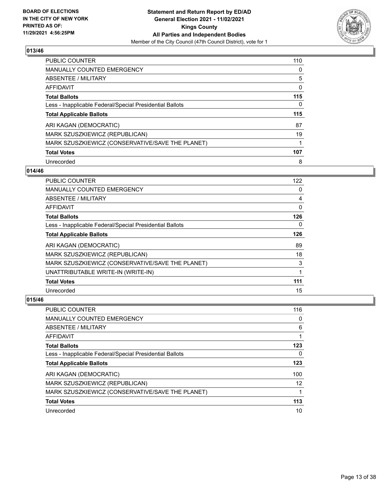

| PUBLIC COUNTER                                           | 110 |
|----------------------------------------------------------|-----|
| <b>MANUALLY COUNTED EMERGENCY</b>                        | 0   |
| ABSENTEE / MILITARY                                      | 5   |
| AFFIDAVIT                                                | 0   |
| <b>Total Ballots</b>                                     | 115 |
| Less - Inapplicable Federal/Special Presidential Ballots | 0   |
| <b>Total Applicable Ballots</b>                          | 115 |
| ARI KAGAN (DEMOCRATIC)                                   | 87  |
| MARK SZUSZKIEWICZ (REPUBLICAN)                           | 19  |
| MARK SZUSZKIEWICZ (CONSERVATIVE/SAVE THE PLANET)         |     |
| <b>Total Votes</b>                                       | 107 |
| Unrecorded                                               | 8   |

## **014/46**

| <b>PUBLIC COUNTER</b>                                    | 122      |
|----------------------------------------------------------|----------|
| <b>MANUALLY COUNTED EMERGENCY</b>                        | 0        |
| ABSENTEE / MILITARY                                      | 4        |
| AFFIDAVIT                                                | 0        |
| <b>Total Ballots</b>                                     | 126      |
| Less - Inapplicable Federal/Special Presidential Ballots | $\Omega$ |
| <b>Total Applicable Ballots</b>                          | 126      |
| ARI KAGAN (DEMOCRATIC)                                   | 89       |
| MARK SZUSZKIEWICZ (REPUBLICAN)                           | 18       |
| MARK SZUSZKIEWICZ (CONSERVATIVE/SAVE THE PLANET)         | 3        |
| UNATTRIBUTABLE WRITE-IN (WRITE-IN)                       |          |
| <b>Total Votes</b>                                       | 111      |
| Unrecorded                                               | 15       |

| PUBLIC COUNTER                                           | 116 |
|----------------------------------------------------------|-----|
| <b>MANUALLY COUNTED EMERGENCY</b>                        | 0   |
| ABSENTEE / MILITARY                                      | 6   |
| AFFIDAVIT                                                |     |
| <b>Total Ballots</b>                                     | 123 |
| Less - Inapplicable Federal/Special Presidential Ballots | 0   |
| <b>Total Applicable Ballots</b>                          | 123 |
| ARI KAGAN (DEMOCRATIC)                                   | 100 |
| MARK SZUSZKIEWICZ (REPUBLICAN)                           | 12  |
| MARK SZUSZKIEWICZ (CONSERVATIVE/SAVE THE PLANET)         |     |
| <b>Total Votes</b>                                       | 113 |
| Unrecorded                                               | 10  |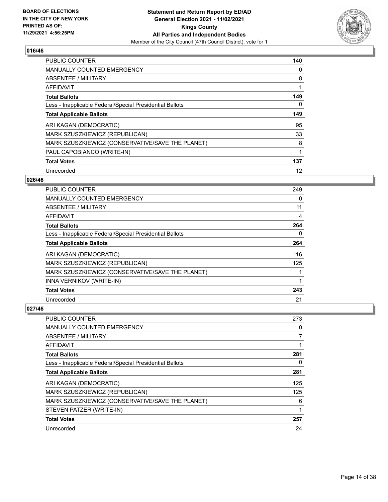

| <b>PUBLIC COUNTER</b>                                    | 140 |
|----------------------------------------------------------|-----|
| <b>MANUALLY COUNTED EMERGENCY</b>                        | 0   |
| ABSENTEE / MILITARY                                      | 8   |
| <b>AFFIDAVIT</b>                                         |     |
| <b>Total Ballots</b>                                     | 149 |
| Less - Inapplicable Federal/Special Presidential Ballots | 0   |
| <b>Total Applicable Ballots</b>                          | 149 |
| ARI KAGAN (DEMOCRATIC)                                   | 95  |
| MARK SZUSZKIEWICZ (REPUBLICAN)                           | 33  |
| MARK SZUSZKIEWICZ (CONSERVATIVE/SAVE THE PLANET)         | 8   |
| PAUL CAPOBIANCO (WRITE-IN)                               |     |
| <b>Total Votes</b>                                       | 137 |
| Unrecorded                                               | 12  |

## **026/46**

| <b>PUBLIC COUNTER</b>                                    | 249 |
|----------------------------------------------------------|-----|
| <b>MANUALLY COUNTED EMERGENCY</b>                        | 0   |
| ABSENTEE / MILITARY                                      | 11  |
| <b>AFFIDAVIT</b>                                         | 4   |
| <b>Total Ballots</b>                                     | 264 |
| Less - Inapplicable Federal/Special Presidential Ballots | 0   |
| <b>Total Applicable Ballots</b>                          | 264 |
| ARI KAGAN (DEMOCRATIC)                                   | 116 |
| MARK SZUSZKIEWICZ (REPUBLICAN)                           | 125 |
| MARK SZUSZKIEWICZ (CONSERVATIVE/SAVE THE PLANET)         |     |
| INNA VERNIKOV (WRITE-IN)                                 |     |
| <b>Total Votes</b>                                       | 243 |
| Unrecorded                                               | 21  |

| PUBLIC COUNTER                                           | 273      |
|----------------------------------------------------------|----------|
| <b>MANUALLY COUNTED EMERGENCY</b>                        | 0        |
| ABSENTEE / MILITARY                                      | 7        |
| AFFIDAVIT                                                | 1        |
| <b>Total Ballots</b>                                     | 281      |
| Less - Inapplicable Federal/Special Presidential Ballots | $\Omega$ |
| <b>Total Applicable Ballots</b>                          | 281      |
| ARI KAGAN (DEMOCRATIC)                                   | 125      |
| MARK SZUSZKIEWICZ (REPUBLICAN)                           | 125      |
| MARK SZUSZKIEWICZ (CONSERVATIVE/SAVE THE PLANET)         | 6        |
| STEVEN PATZER (WRITE-IN)                                 | 1        |
| <b>Total Votes</b>                                       | 257      |
| Unrecorded                                               | 24       |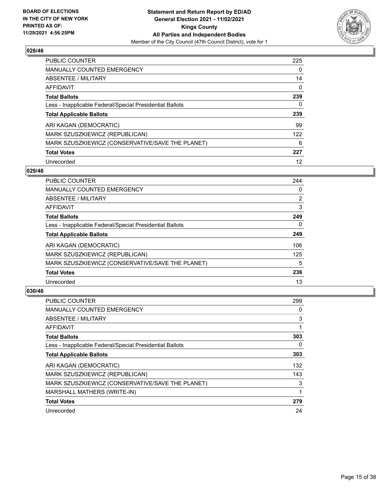

| PUBLIC COUNTER                                           | 225 |
|----------------------------------------------------------|-----|
| <b>MANUALLY COUNTED EMERGENCY</b>                        | 0   |
| ABSENTEE / MILITARY                                      | 14  |
| AFFIDAVIT                                                | 0   |
| <b>Total Ballots</b>                                     | 239 |
| Less - Inapplicable Federal/Special Presidential Ballots | 0   |
| <b>Total Applicable Ballots</b>                          | 239 |
| ARI KAGAN (DEMOCRATIC)                                   | 99  |
| MARK SZUSZKIEWICZ (REPUBLICAN)                           | 122 |
| MARK SZUSZKIEWICZ (CONSERVATIVE/SAVE THE PLANET)         | 6   |
|                                                          |     |
| <b>Total Votes</b>                                       | 227 |

#### **029/46**

| PUBLIC COUNTER                                           | 244            |
|----------------------------------------------------------|----------------|
| <b>MANUALLY COUNTED EMERGENCY</b>                        | 0              |
| ABSENTEE / MILITARY                                      | $\overline{2}$ |
| <b>AFFIDAVIT</b>                                         | 3              |
| <b>Total Ballots</b>                                     | 249            |
| Less - Inapplicable Federal/Special Presidential Ballots | $\Omega$       |
| <b>Total Applicable Ballots</b>                          | 249            |
| ARI KAGAN (DEMOCRATIC)                                   | 106            |
| MARK SZUSZKIEWICZ (REPUBLICAN)                           | 125            |
| MARK SZUSZKIEWICZ (CONSERVATIVE/SAVE THE PLANET)         | 5              |
| <b>Total Votes</b>                                       | 236            |
| Unrecorded                                               | 13             |

| <b>PUBLIC COUNTER</b>                                    | 299      |
|----------------------------------------------------------|----------|
| <b>MANUALLY COUNTED EMERGENCY</b>                        | 0        |
| ABSENTEE / MILITARY                                      | 3        |
| AFFIDAVIT                                                | 1        |
| <b>Total Ballots</b>                                     | 303      |
| Less - Inapplicable Federal/Special Presidential Ballots | $\Omega$ |
| <b>Total Applicable Ballots</b>                          | 303      |
| ARI KAGAN (DEMOCRATIC)                                   | 132      |
| MARK SZUSZKIEWICZ (REPUBLICAN)                           | 143      |
| MARK SZUSZKIEWICZ (CONSERVATIVE/SAVE THE PLANET)         | 3        |
| MARSHALL MATHERS (WRITE-IN)                              |          |
| <b>Total Votes</b>                                       | 279      |
| Unrecorded                                               | 24       |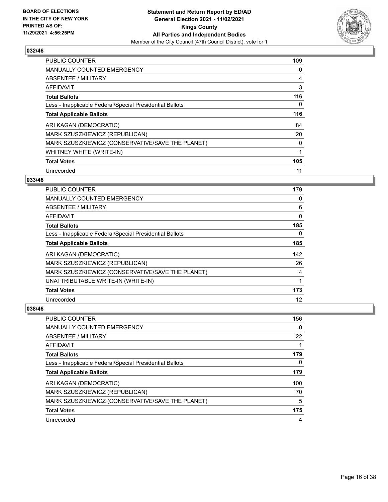

| <b>PUBLIC COUNTER</b>                                    | 109 |
|----------------------------------------------------------|-----|
| MANUALLY COUNTED EMERGENCY                               | 0   |
| ABSENTEE / MILITARY                                      | 4   |
| <b>AFFIDAVIT</b>                                         | 3   |
| <b>Total Ballots</b>                                     | 116 |
| Less - Inapplicable Federal/Special Presidential Ballots | 0   |
| <b>Total Applicable Ballots</b>                          | 116 |
| ARI KAGAN (DEMOCRATIC)                                   | 84  |
| MARK SZUSZKIEWICZ (REPUBLICAN)                           | 20  |
| MARK SZUSZKIEWICZ (CONSERVATIVE/SAVE THE PLANET)         | 0   |
| WHITNEY WHITE (WRITE-IN)                                 |     |
| <b>Total Votes</b>                                       | 105 |
| Unrecorded                                               | 11  |

## **033/46**

| PUBLIC COUNTER                                           | 179 |
|----------------------------------------------------------|-----|
| <b>MANUALLY COUNTED EMERGENCY</b>                        | 0   |
| ABSENTEE / MILITARY                                      | 6   |
| AFFIDAVIT                                                | 0   |
| <b>Total Ballots</b>                                     | 185 |
| Less - Inapplicable Federal/Special Presidential Ballots | 0   |
| <b>Total Applicable Ballots</b>                          | 185 |
| ARI KAGAN (DEMOCRATIC)                                   | 142 |
| MARK SZUSZKIEWICZ (REPUBLICAN)                           | 26  |
| MARK SZUSZKIEWICZ (CONSERVATIVE/SAVE THE PLANET)         | 4   |
| UNATTRIBUTABLE WRITE-IN (WRITE-IN)                       | 1   |
| <b>Total Votes</b>                                       | 173 |
| Unrecorded                                               | 12  |

| <b>PUBLIC COUNTER</b>                                    | 156 |
|----------------------------------------------------------|-----|
| MANUALLY COUNTED EMERGENCY                               | 0   |
| ABSENTEE / MILITARY                                      | 22  |
| AFFIDAVIT                                                |     |
| <b>Total Ballots</b>                                     | 179 |
| Less - Inapplicable Federal/Special Presidential Ballots | 0   |
| <b>Total Applicable Ballots</b>                          | 179 |
| ARI KAGAN (DEMOCRATIC)                                   | 100 |
| MARK SZUSZKIEWICZ (REPUBLICAN)                           | 70  |
| MARK SZUSZKIEWICZ (CONSERVATIVE/SAVE THE PLANET)         | 5   |
| <b>Total Votes</b>                                       | 175 |
| Unrecorded                                               | 4   |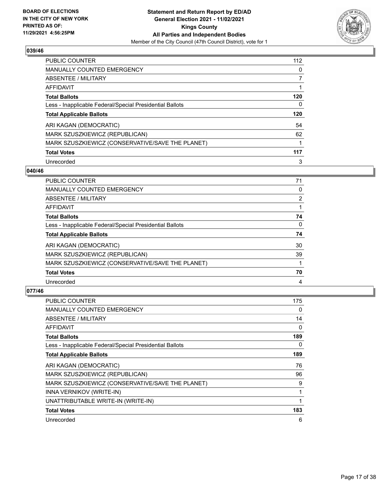

| PUBLIC COUNTER                                           | 112 |
|----------------------------------------------------------|-----|
| <b>MANUALLY COUNTED EMERGENCY</b>                        | 0   |
| ABSENTEE / MILITARY                                      |     |
| AFFIDAVIT                                                |     |
| <b>Total Ballots</b>                                     | 120 |
| Less - Inapplicable Federal/Special Presidential Ballots | 0   |
| <b>Total Applicable Ballots</b>                          | 120 |
| ARI KAGAN (DEMOCRATIC)                                   | 54  |
| MARK SZUSZKIEWICZ (REPUBLICAN)                           | 62  |
| MARK SZUSZKIEWICZ (CONSERVATIVE/SAVE THE PLANET)         |     |
| <b>Total Votes</b>                                       | 117 |
| Unrecorded                                               | 3   |

#### **040/46**

| <b>PUBLIC COUNTER</b>                                    | 71             |
|----------------------------------------------------------|----------------|
| <b>MANUALLY COUNTED EMERGENCY</b>                        | 0              |
| ABSENTEE / MILITARY                                      | $\overline{2}$ |
| AFFIDAVIT                                                |                |
| <b>Total Ballots</b>                                     | 74             |
| Less - Inapplicable Federal/Special Presidential Ballots | $\Omega$       |
| <b>Total Applicable Ballots</b>                          | 74             |
| ARI KAGAN (DEMOCRATIC)                                   | 30             |
| MARK SZUSZKIEWICZ (REPUBLICAN)                           | 39             |
| MARK SZUSZKIEWICZ (CONSERVATIVE/SAVE THE PLANET)         |                |
| <b>Total Votes</b>                                       | 70             |
| Unrecorded                                               | 4              |

| PUBLIC COUNTER                                           | 175 |
|----------------------------------------------------------|-----|
| <b>MANUALLY COUNTED EMERGENCY</b>                        | 0   |
| ABSENTEE / MILITARY                                      | 14  |
| AFFIDAVIT                                                | 0   |
| <b>Total Ballots</b>                                     | 189 |
| Less - Inapplicable Federal/Special Presidential Ballots | 0   |
| <b>Total Applicable Ballots</b>                          | 189 |
| ARI KAGAN (DEMOCRATIC)                                   | 76  |
| MARK SZUSZKIEWICZ (REPUBLICAN)                           | 96  |
| MARK SZUSZKIEWICZ (CONSERVATIVE/SAVE THE PLANET)         | 9   |
| INNA VERNIKOV (WRITE-IN)                                 | 1   |
| UNATTRIBUTABLE WRITE-IN (WRITE-IN)                       | 1   |
| <b>Total Votes</b>                                       | 183 |
| Unrecorded                                               | 6   |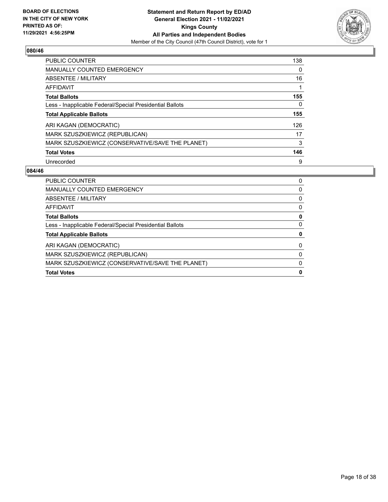

| PUBLIC COUNTER                                           | 138 |
|----------------------------------------------------------|-----|
| <b>MANUALLY COUNTED EMERGENCY</b>                        | 0   |
| ABSENTEE / MILITARY                                      | 16  |
| AFFIDAVIT                                                |     |
| <b>Total Ballots</b>                                     | 155 |
| Less - Inapplicable Federal/Special Presidential Ballots | 0   |
| <b>Total Applicable Ballots</b>                          | 155 |
| ARI KAGAN (DEMOCRATIC)                                   | 126 |
| MARK SZUSZKIEWICZ (REPUBLICAN)                           | 17  |
| MARK SZUSZKIEWICZ (CONSERVATIVE/SAVE THE PLANET)         | 3   |
| <b>Total Votes</b>                                       | 146 |
| Unrecorded                                               | 9   |

| <b>Total Votes</b>                                       | 0 |
|----------------------------------------------------------|---|
| MARK SZUSZKIEWICZ (CONSERVATIVE/SAVE THE PLANET)         | 0 |
| MARK SZUSZKIEWICZ (REPUBLICAN)                           | 0 |
| ARI KAGAN (DEMOCRATIC)                                   | 0 |
| <b>Total Applicable Ballots</b>                          | 0 |
| Less - Inapplicable Federal/Special Presidential Ballots | 0 |
| <b>Total Ballots</b>                                     | 0 |
| AFFIDAVIT                                                | 0 |
| ABSENTEE / MILITARY                                      | 0 |
| <b>MANUALLY COUNTED EMERGENCY</b>                        | 0 |
| <b>PUBLIC COUNTER</b>                                    | 0 |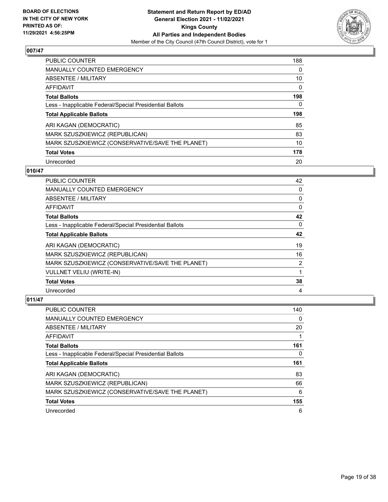

| <b>PUBLIC COUNTER</b>                                    | 188 |
|----------------------------------------------------------|-----|
| <b>MANUALLY COUNTED EMERGENCY</b>                        | 0   |
| ABSENTEE / MILITARY                                      | 10  |
| AFFIDAVIT                                                | 0   |
| <b>Total Ballots</b>                                     | 198 |
| Less - Inapplicable Federal/Special Presidential Ballots | 0   |
| <b>Total Applicable Ballots</b>                          | 198 |
| ARI KAGAN (DEMOCRATIC)                                   | 85  |
| MARK SZUSZKIEWICZ (REPUBLICAN)                           | 83  |
|                                                          |     |
| MARK SZUSZKIEWICZ (CONSERVATIVE/SAVE THE PLANET)         | 10  |
| <b>Total Votes</b>                                       | 178 |

#### **010/47**

| PUBLIC COUNTER                                           | 42       |
|----------------------------------------------------------|----------|
| <b>MANUALLY COUNTED EMERGENCY</b>                        | 0        |
| ABSENTEE / MILITARY                                      | 0        |
| AFFIDAVIT                                                | 0        |
| <b>Total Ballots</b>                                     | 42       |
| Less - Inapplicable Federal/Special Presidential Ballots | $\Omega$ |
| <b>Total Applicable Ballots</b>                          | 42       |
| ARI KAGAN (DEMOCRATIC)                                   | 19       |
| MARK SZUSZKIEWICZ (REPUBLICAN)                           | 16       |
| MARK SZUSZKIEWICZ (CONSERVATIVE/SAVE THE PLANET)         | 2        |
| <b>VULLNET VELIU (WRITE-IN)</b>                          | 1        |
| <b>Total Votes</b>                                       | 38       |
| Unrecorded                                               | 4        |

| <b>PUBLIC COUNTER</b>                                    | 140 |
|----------------------------------------------------------|-----|
| <b>MANUALLY COUNTED EMERGENCY</b>                        | 0   |
| ABSENTEE / MILITARY                                      | 20  |
| AFFIDAVIT                                                |     |
| <b>Total Ballots</b>                                     | 161 |
| Less - Inapplicable Federal/Special Presidential Ballots | 0   |
| <b>Total Applicable Ballots</b>                          | 161 |
| ARI KAGAN (DEMOCRATIC)                                   | 83  |
| MARK SZUSZKIEWICZ (REPUBLICAN)                           | 66  |
| MARK SZUSZKIEWICZ (CONSERVATIVE/SAVE THE PLANET)         | 6   |
|                                                          |     |
| <b>Total Votes</b>                                       | 155 |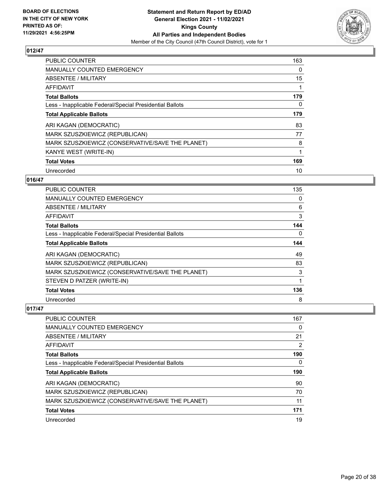

| <b>PUBLIC COUNTER</b>                                    | 163 |
|----------------------------------------------------------|-----|
| <b>MANUALLY COUNTED EMERGENCY</b>                        | 0   |
| ABSENTEE / MILITARY                                      | 15  |
| <b>AFFIDAVIT</b>                                         |     |
| <b>Total Ballots</b>                                     | 179 |
| Less - Inapplicable Federal/Special Presidential Ballots | 0   |
| <b>Total Applicable Ballots</b>                          | 179 |
| ARI KAGAN (DEMOCRATIC)                                   | 83  |
| <b>MARK SZUSZKIEWICZ (REPUBLICAN)</b>                    | 77  |
| MARK SZUSZKIEWICZ (CONSERVATIVE/SAVE THE PLANET)         | 8   |
| KANYE WEST (WRITE-IN)                                    |     |
| <b>Total Votes</b>                                       | 169 |
| Unrecorded                                               | 10  |

## **016/47**

| <b>PUBLIC COUNTER</b>                                    | 135      |
|----------------------------------------------------------|----------|
| <b>MANUALLY COUNTED EMERGENCY</b>                        | $\Omega$ |
| ABSENTEE / MILITARY                                      | 6        |
| AFFIDAVIT                                                | 3        |
| <b>Total Ballots</b>                                     | 144      |
| Less - Inapplicable Federal/Special Presidential Ballots | $\Omega$ |
| <b>Total Applicable Ballots</b>                          | 144      |
| ARI KAGAN (DEMOCRATIC)                                   | 49       |
| MARK SZUSZKIEWICZ (REPUBLICAN)                           | 83       |
| MARK SZUSZKIEWICZ (CONSERVATIVE/SAVE THE PLANET)         | 3        |
| STEVEN D PATZER (WRITE-IN)                               | 1        |
| <b>Total Votes</b>                                       | 136      |
| Unrecorded                                               | 8        |

| PUBLIC COUNTER                                           | 167 |
|----------------------------------------------------------|-----|
| <b>MANUALLY COUNTED EMERGENCY</b>                        | 0   |
| ABSENTEE / MILITARY                                      | 21  |
| AFFIDAVIT                                                | 2   |
| <b>Total Ballots</b>                                     | 190 |
| Less - Inapplicable Federal/Special Presidential Ballots | 0   |
|                                                          |     |
| <b>Total Applicable Ballots</b>                          | 190 |
| ARI KAGAN (DEMOCRATIC)                                   | 90  |
| MARK SZUSZKIEWICZ (REPUBLICAN)                           | 70  |
| MARK SZUSZKIEWICZ (CONSERVATIVE/SAVE THE PLANET)         | 11  |
| <b>Total Votes</b>                                       | 171 |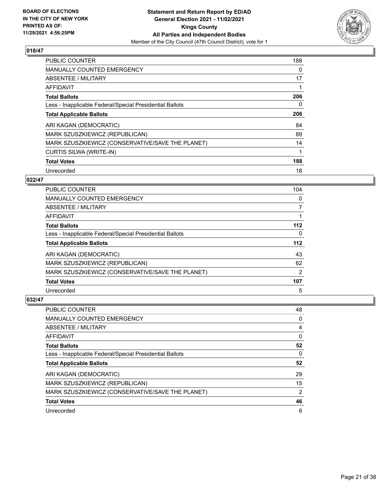

| <b>PUBLIC COUNTER</b>                                    | 188 |
|----------------------------------------------------------|-----|
| <b>MANUALLY COUNTED EMERGENCY</b>                        | 0   |
| ABSENTEE / MILITARY                                      | 17  |
| <b>AFFIDAVIT</b>                                         |     |
| <b>Total Ballots</b>                                     | 206 |
| Less - Inapplicable Federal/Special Presidential Ballots | 0   |
| <b>Total Applicable Ballots</b>                          | 206 |
| ARI KAGAN (DEMOCRATIC)                                   | 84  |
| MARK SZUSZKIEWICZ (REPUBLICAN)                           | 89  |
| MARK SZUSZKIEWICZ (CONSERVATIVE/SAVE THE PLANET)         | 14  |
| CURTIS SILWA (WRITE-IN)                                  |     |
| <b>Total Votes</b>                                       | 188 |
| Unrecorded                                               | 18  |

## **022/47**

| <b>PUBLIC COUNTER</b>                                    | 104   |
|----------------------------------------------------------|-------|
| <b>MANUALLY COUNTED EMERGENCY</b>                        | 0     |
| ABSENTEE / MILITARY                                      | 7     |
| AFFIDAVIT                                                |       |
| <b>Total Ballots</b>                                     | $112$ |
| Less - Inapplicable Federal/Special Presidential Ballots | 0     |
| <b>Total Applicable Ballots</b>                          | $112$ |
| ARI KAGAN (DEMOCRATIC)                                   | 43    |
| MARK SZUSZKIEWICZ (REPUBLICAN)                           | 62    |
| MARK SZUSZKIEWICZ (CONSERVATIVE/SAVE THE PLANET)         | 2     |
| <b>Total Votes</b>                                       | 107   |
| Unrecorded                                               | 5     |

| PUBLIC COUNTER                                           | 48             |
|----------------------------------------------------------|----------------|
| <b>MANUALLY COUNTED EMERGENCY</b>                        | 0              |
| ABSENTEE / MILITARY                                      | 4              |
| AFFIDAVIT                                                | 0              |
| <b>Total Ballots</b>                                     | 52             |
| Less - Inapplicable Federal/Special Presidential Ballots | 0              |
|                                                          |                |
| <b>Total Applicable Ballots</b>                          | 52             |
| ARI KAGAN (DEMOCRATIC)                                   | 29             |
| MARK SZUSZKIEWICZ (REPUBLICAN)                           | 15             |
| MARK SZUSZKIEWICZ (CONSERVATIVE/SAVE THE PLANET)         | $\overline{2}$ |
| <b>Total Votes</b>                                       | 46             |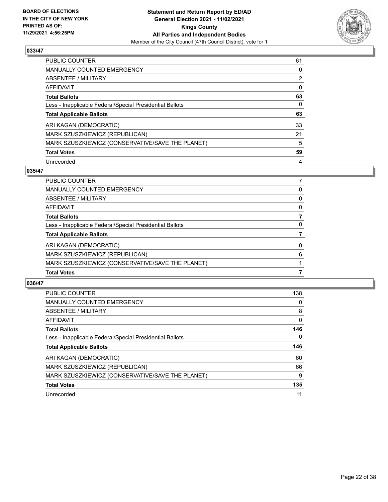

| PUBLIC COUNTER                                           | 61 |
|----------------------------------------------------------|----|
| <b>MANUALLY COUNTED EMERGENCY</b>                        | 0  |
| ABSENTEE / MILITARY                                      | 2  |
| AFFIDAVIT                                                | 0  |
| <b>Total Ballots</b>                                     | 63 |
| Less - Inapplicable Federal/Special Presidential Ballots | 0  |
| <b>Total Applicable Ballots</b>                          | 63 |
| ARI KAGAN (DEMOCRATIC)                                   | 33 |
| MARK SZUSZKIEWICZ (REPUBLICAN)                           | 21 |
| MARK SZUSZKIEWICZ (CONSERVATIVE/SAVE THE PLANET)         | 5  |
| <b>Total Votes</b>                                       | 59 |
| Unrecorded                                               | 4  |

## **035/47**

| MARK SZUSZKIEWICZ (CONSERVATIVE/SAVE THE PLANET)         |          |
|----------------------------------------------------------|----------|
| MARK SZUSZKIEWICZ (REPUBLICAN)                           | 6        |
| ARI KAGAN (DEMOCRATIC)                                   | $\Omega$ |
| <b>Total Applicable Ballots</b>                          |          |
| Less - Inapplicable Federal/Special Presidential Ballots | 0        |
| <b>Total Ballots</b>                                     | 7        |
| AFFIDAVIT                                                | 0        |
| <b>ABSENTEE / MILITARY</b>                               | 0        |
| <b>MANUALLY COUNTED EMERGENCY</b>                        | 0        |
| <b>PUBLIC COUNTER</b>                                    |          |

| <b>PUBLIC COUNTER</b>                                    | 138 |
|----------------------------------------------------------|-----|
| <b>MANUALLY COUNTED EMERGENCY</b>                        | 0   |
| ABSENTEE / MILITARY                                      | 8   |
| AFFIDAVIT                                                | 0   |
| <b>Total Ballots</b>                                     | 146 |
| Less - Inapplicable Federal/Special Presidential Ballots | 0   |
| <b>Total Applicable Ballots</b>                          | 146 |
|                                                          |     |
| ARI KAGAN (DEMOCRATIC)                                   | 60  |
| MARK SZUSZKIEWICZ (REPUBLICAN)                           | 66  |
| MARK SZUSZKIEWICZ (CONSERVATIVE/SAVE THE PLANET)         | 9   |
| <b>Total Votes</b>                                       | 135 |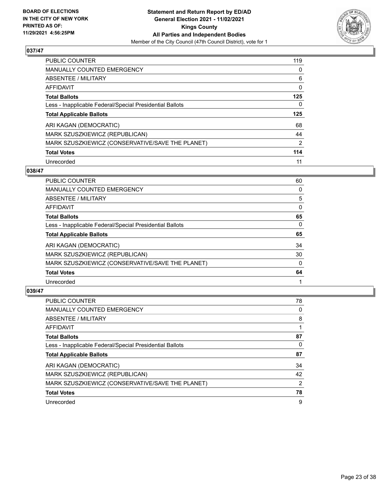

| <b>PUBLIC COUNTER</b>                                    | 119            |
|----------------------------------------------------------|----------------|
| MANUALLY COUNTED EMERGENCY                               | 0              |
| ABSENTEE / MILITARY                                      | 6              |
| AFFIDAVIT                                                | 0              |
| <b>Total Ballots</b>                                     | 125            |
| Less - Inapplicable Federal/Special Presidential Ballots | 0              |
| <b>Total Applicable Ballots</b>                          | 125            |
|                                                          |                |
| ARI KAGAN (DEMOCRATIC)                                   | 68             |
| MARK SZUSZKIEWICZ (REPUBLICAN)                           | 44             |
| MARK SZUSZKIEWICZ (CONSERVATIVE/SAVE THE PLANET)         | $\overline{2}$ |
| <b>Total Votes</b>                                       | 114            |

#### **038/47**

| <b>PUBLIC COUNTER</b>                                    | 60       |
|----------------------------------------------------------|----------|
| <b>MANUALLY COUNTED EMERGENCY</b>                        | 0        |
| ABSENTEE / MILITARY                                      | 5        |
| <b>AFFIDAVIT</b>                                         | 0        |
| <b>Total Ballots</b>                                     | 65       |
| Less - Inapplicable Federal/Special Presidential Ballots | $\Omega$ |
| <b>Total Applicable Ballots</b>                          | 65       |
| ARI KAGAN (DEMOCRATIC)                                   | 34       |
| MARK SZUSZKIEWICZ (REPUBLICAN)                           | 30       |
| MARK SZUSZKIEWICZ (CONSERVATIVE/SAVE THE PLANET)         | $\Omega$ |
| <b>Total Votes</b>                                       | 64       |
| Unrecorded                                               |          |

| <b>PUBLIC COUNTER</b>                                    | 78 |
|----------------------------------------------------------|----|
| <b>MANUALLY COUNTED EMERGENCY</b>                        | 0  |
| ABSENTEE / MILITARY                                      | 8  |
| AFFIDAVIT                                                |    |
| <b>Total Ballots</b>                                     | 87 |
| Less - Inapplicable Federal/Special Presidential Ballots | 0  |
| <b>Total Applicable Ballots</b>                          | 87 |
| ARI KAGAN (DEMOCRATIC)                                   | 34 |
| MARK SZUSZKIEWICZ (REPUBLICAN)                           | 42 |
| MARK SZUSZKIEWICZ (CONSERVATIVE/SAVE THE PLANET)         | 2  |
| <b>Total Votes</b>                                       | 78 |
| Unrecorded                                               | 9  |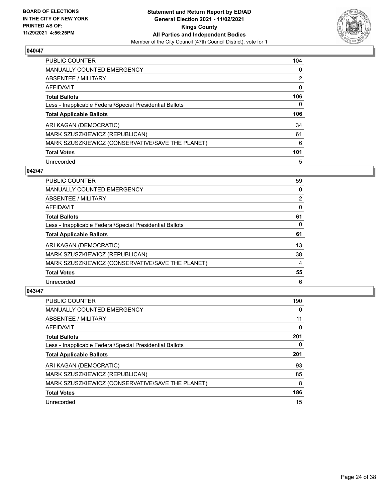

| <b>PUBLIC COUNTER</b>                                    | 104 |
|----------------------------------------------------------|-----|
| MANUALLY COUNTED EMERGENCY                               | 0   |
| ABSENTEE / MILITARY                                      | 2   |
| AFFIDAVIT                                                | 0   |
| <b>Total Ballots</b>                                     | 106 |
| Less - Inapplicable Federal/Special Presidential Ballots | 0   |
| <b>Total Applicable Ballots</b>                          | 106 |
|                                                          |     |
| ARI KAGAN (DEMOCRATIC)                                   | 34  |
| MARK SZUSZKIEWICZ (REPUBLICAN)                           | 61  |
| MARK SZUSZKIEWICZ (CONSERVATIVE/SAVE THE PLANET)         | 6   |
| <b>Total Votes</b>                                       | 101 |

#### **042/47**

| <b>PUBLIC COUNTER</b>                                    | 59             |
|----------------------------------------------------------|----------------|
| MANUALLY COUNTED EMERGENCY                               | 0              |
| ABSENTEE / MILITARY                                      | $\overline{2}$ |
| <b>AFFIDAVIT</b>                                         | $\Omega$       |
| <b>Total Ballots</b>                                     | 61             |
| Less - Inapplicable Federal/Special Presidential Ballots | 0              |
| <b>Total Applicable Ballots</b>                          | 61             |
| ARI KAGAN (DEMOCRATIC)                                   | 13             |
| MARK SZUSZKIEWICZ (REPUBLICAN)                           | 38             |
| MARK SZUSZKIEWICZ (CONSERVATIVE/SAVE THE PLANET)         | 4              |
| <b>Total Votes</b>                                       | 55             |
| Unrecorded                                               | 6              |

| <b>PUBLIC COUNTER</b>                                    | 190      |
|----------------------------------------------------------|----------|
| <b>MANUALLY COUNTED EMERGENCY</b>                        | 0        |
| ABSENTEE / MILITARY                                      | 11       |
| AFFIDAVIT                                                | $\Omega$ |
| <b>Total Ballots</b>                                     | 201      |
| Less - Inapplicable Federal/Special Presidential Ballots | 0        |
| <b>Total Applicable Ballots</b>                          | 201      |
| ARI KAGAN (DEMOCRATIC)                                   | 93       |
| MARK SZUSZKIEWICZ (REPUBLICAN)                           | 85       |
| MARK SZUSZKIEWICZ (CONSERVATIVE/SAVE THE PLANET)         | 8        |
| <b>Total Votes</b>                                       | 186      |
| Unrecorded                                               | 15       |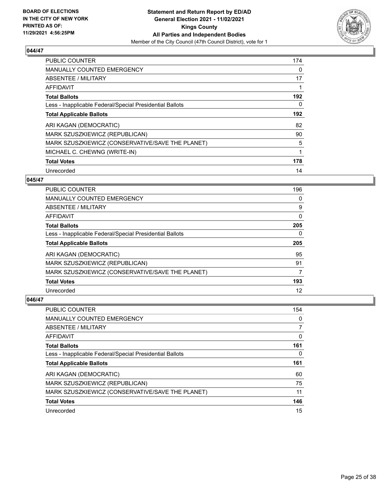

| <b>PUBLIC COUNTER</b>                                    | 174 |
|----------------------------------------------------------|-----|
| <b>MANUALLY COUNTED EMERGENCY</b>                        | 0   |
| ABSENTEE / MILITARY                                      | 17  |
| <b>AFFIDAVIT</b>                                         |     |
| <b>Total Ballots</b>                                     | 192 |
| Less - Inapplicable Federal/Special Presidential Ballots | 0   |
| <b>Total Applicable Ballots</b>                          | 192 |
| ARI KAGAN (DEMOCRATIC)                                   | 82  |
| MARK SZUSZKIEWICZ (REPUBLICAN)                           | 90  |
| MARK SZUSZKIEWICZ (CONSERVATIVE/SAVE THE PLANET)         | 5   |
| MICHAEL C. CHEWNG (WRITE-IN)                             | 1   |
| <b>Total Votes</b>                                       | 178 |
| Unrecorded                                               | 14  |

## **045/47**

| <b>PUBLIC COUNTER</b>                                    | 196      |
|----------------------------------------------------------|----------|
| <b>MANUALLY COUNTED EMERGENCY</b>                        | 0        |
| ABSENTEE / MILITARY                                      | 9        |
| <b>AFFIDAVIT</b>                                         | $\Omega$ |
| <b>Total Ballots</b>                                     | 205      |
| Less - Inapplicable Federal/Special Presidential Ballots | $\Omega$ |
| <b>Total Applicable Ballots</b>                          | 205      |
| ARI KAGAN (DEMOCRATIC)                                   | 95       |
| MARK SZUSZKIEWICZ (REPUBLICAN)                           | 91       |
| MARK SZUSZKIEWICZ (CONSERVATIVE/SAVE THE PLANET)         | 7        |
| <b>Total Votes</b>                                       | 193      |
| Unrecorded                                               | 12       |

| <b>PUBLIC COUNTER</b>                                    | 154 |
|----------------------------------------------------------|-----|
| <b>MANUALLY COUNTED EMERGENCY</b>                        | 0   |
| ABSENTEE / MILITARY                                      |     |
| AFFIDAVIT                                                | 0   |
| <b>Total Ballots</b>                                     | 161 |
| Less - Inapplicable Federal/Special Presidential Ballots | 0   |
| <b>Total Applicable Ballots</b>                          | 161 |
|                                                          |     |
| ARI KAGAN (DEMOCRATIC)                                   | 60  |
| MARK SZUSZKIEWICZ (REPUBLICAN)                           | 75  |
| MARK SZUSZKIEWICZ (CONSERVATIVE/SAVE THE PLANET)         | 11  |
| <b>Total Votes</b>                                       | 146 |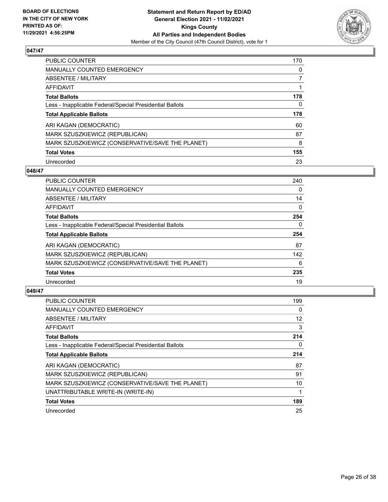

| <b>PUBLIC COUNTER</b>                                    | 170 |
|----------------------------------------------------------|-----|
| <b>MANUALLY COUNTED EMERGENCY</b>                        | 0   |
| ABSENTEE / MILITARY                                      |     |
| AFFIDAVIT                                                |     |
| <b>Total Ballots</b>                                     | 178 |
| Less - Inapplicable Federal/Special Presidential Ballots | 0   |
| <b>Total Applicable Ballots</b>                          | 178 |
|                                                          |     |
| ARI KAGAN (DEMOCRATIC)                                   | 60  |
| MARK SZUSZKIEWICZ (REPUBLICAN)                           | 87  |
| MARK SZUSZKIEWICZ (CONSERVATIVE/SAVE THE PLANET)         | 8   |
| <b>Total Votes</b>                                       | 155 |

#### **048/47**

| <b>PUBLIC COUNTER</b>                                    | 240      |
|----------------------------------------------------------|----------|
| <b>MANUALLY COUNTED EMERGENCY</b>                        | $\Omega$ |
| ABSENTEE / MILITARY                                      | 14       |
| <b>AFFIDAVIT</b>                                         | $\Omega$ |
| <b>Total Ballots</b>                                     | 254      |
| Less - Inapplicable Federal/Special Presidential Ballots | $\Omega$ |
| <b>Total Applicable Ballots</b>                          | 254      |
| ARI KAGAN (DEMOCRATIC)                                   | 87       |
| MARK SZUSZKIEWICZ (REPUBLICAN)                           | 142      |
| MARK SZUSZKIEWICZ (CONSERVATIVE/SAVE THE PLANET)         | 6        |
| <b>Total Votes</b>                                       | 235      |
| Unrecorded                                               | 19       |

| <b>PUBLIC COUNTER</b>                                    | 199 |
|----------------------------------------------------------|-----|
| <b>MANUALLY COUNTED EMERGENCY</b>                        | 0   |
| ABSENTEE / MILITARY                                      | 12  |
| AFFIDAVIT                                                | 3   |
| <b>Total Ballots</b>                                     | 214 |
| Less - Inapplicable Federal/Special Presidential Ballots | 0   |
| <b>Total Applicable Ballots</b>                          | 214 |
| ARI KAGAN (DEMOCRATIC)                                   | 87  |
| MARK SZUSZKIEWICZ (REPUBLICAN)                           | 91  |
| MARK SZUSZKIEWICZ (CONSERVATIVE/SAVE THE PLANET)         | 10  |
| UNATTRIBUTABLE WRITE-IN (WRITE-IN)                       |     |
| <b>Total Votes</b>                                       | 189 |
| Unrecorded                                               | 25  |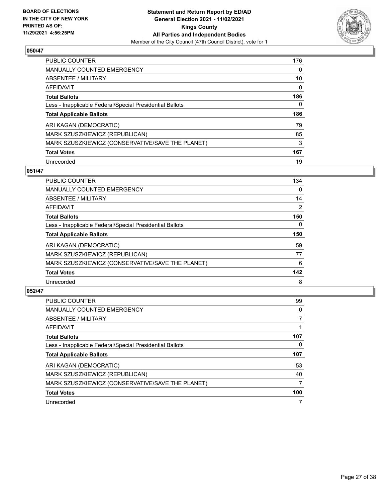

| <b>PUBLIC COUNTER</b>                                    | 176 |
|----------------------------------------------------------|-----|
| <b>MANUALLY COUNTED EMERGENCY</b>                        | 0   |
| ABSENTEE / MILITARY                                      | 10  |
| AFFIDAVIT                                                | 0   |
| <b>Total Ballots</b>                                     | 186 |
| Less - Inapplicable Federal/Special Presidential Ballots | 0   |
|                                                          | 186 |
| <b>Total Applicable Ballots</b>                          |     |
| ARI KAGAN (DEMOCRATIC)                                   | 79  |
| MARK SZUSZKIEWICZ (REPUBLICAN)                           | 85  |
| MARK SZUSZKIEWICZ (CONSERVATIVE/SAVE THE PLANET)         | 3   |
| <b>Total Votes</b>                                       | 167 |

#### **051/47**

| <b>PUBLIC COUNTER</b>                                    | 134            |
|----------------------------------------------------------|----------------|
| <b>MANUALLY COUNTED EMERGENCY</b>                        | $\Omega$       |
| ABSENTEE / MILITARY                                      | 14             |
| <b>AFFIDAVIT</b>                                         | $\overline{2}$ |
| <b>Total Ballots</b>                                     | 150            |
| Less - Inapplicable Federal/Special Presidential Ballots | $\Omega$       |
| <b>Total Applicable Ballots</b>                          | 150            |
| ARI KAGAN (DEMOCRATIC)                                   | 59             |
| MARK SZUSZKIEWICZ (REPUBLICAN)                           | 77             |
| MARK SZUSZKIEWICZ (CONSERVATIVE/SAVE THE PLANET)         | 6              |
| <b>Total Votes</b>                                       | 142            |
| Unrecorded                                               | 8              |

| <b>PUBLIC COUNTER</b>                                    | 99  |
|----------------------------------------------------------|-----|
| <b>MANUALLY COUNTED EMERGENCY</b>                        | 0   |
| ABSENTEE / MILITARY                                      |     |
| AFFIDAVIT                                                |     |
| <b>Total Ballots</b>                                     | 107 |
| Less - Inapplicable Federal/Special Presidential Ballots | 0   |
| <b>Total Applicable Ballots</b>                          | 107 |
| ARI KAGAN (DEMOCRATIC)                                   | 53  |
| MARK SZUSZKIEWICZ (REPUBLICAN)                           | 40  |
| MARK SZUSZKIEWICZ (CONSERVATIVE/SAVE THE PLANET)         | 7   |
| <b>Total Votes</b>                                       | 100 |
| Unrecorded                                               |     |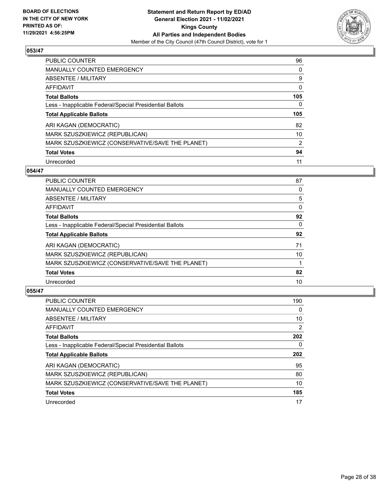

| <b>PUBLIC COUNTER</b>                                    | 96             |
|----------------------------------------------------------|----------------|
| MANUALLY COUNTED EMERGENCY                               | 0              |
| ABSENTEE / MILITARY                                      | 9              |
| AFFIDAVIT                                                | 0              |
| <b>Total Ballots</b>                                     | 105            |
| Less - Inapplicable Federal/Special Presidential Ballots | 0              |
|                                                          |                |
| <b>Total Applicable Ballots</b>                          | 105            |
| ARI KAGAN (DEMOCRATIC)                                   | 82             |
| MARK SZUSZKIEWICZ (REPUBLICAN)                           | 10             |
| MARK SZUSZKIEWICZ (CONSERVATIVE/SAVE THE PLANET)         | $\overline{2}$ |
| <b>Total Votes</b>                                       | 94             |

#### **054/47**

| <b>PUBLIC COUNTER</b>                                    | 87       |
|----------------------------------------------------------|----------|
| <b>MANUALLY COUNTED EMERGENCY</b>                        | 0        |
| ABSENTEE / MILITARY                                      | 5        |
| AFFIDAVIT                                                | $\Omega$ |
| <b>Total Ballots</b>                                     | 92       |
| Less - Inapplicable Federal/Special Presidential Ballots | $\Omega$ |
| <b>Total Applicable Ballots</b>                          | 92       |
| ARI KAGAN (DEMOCRATIC)                                   | 71       |
| MARK SZUSZKIEWICZ (REPUBLICAN)                           | 10       |
| MARK SZUSZKIEWICZ (CONSERVATIVE/SAVE THE PLANET)         |          |
| <b>Total Votes</b>                                       | 82       |
| Unrecorded                                               | 10       |
|                                                          |          |

| <b>PUBLIC COUNTER</b>                                    | 190      |
|----------------------------------------------------------|----------|
| <b>MANUALLY COUNTED EMERGENCY</b>                        | $\Omega$ |
| ABSENTEE / MILITARY                                      | 10       |
| AFFIDAVIT                                                | 2        |
| <b>Total Ballots</b>                                     | 202      |
| Less - Inapplicable Federal/Special Presidential Ballots | 0        |
| <b>Total Applicable Ballots</b>                          | 202      |
| ARI KAGAN (DEMOCRATIC)                                   | 95       |
| MARK SZUSZKIEWICZ (REPUBLICAN)                           | 80       |
|                                                          |          |
| MARK SZUSZKIEWICZ (CONSERVATIVE/SAVE THE PLANET)         | 10       |
| <b>Total Votes</b>                                       | 185      |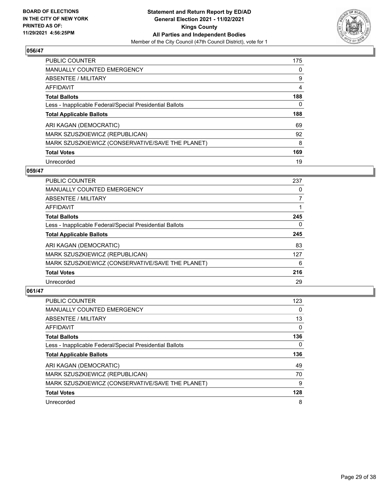

| <b>PUBLIC COUNTER</b>                                    | 175 |
|----------------------------------------------------------|-----|
| <b>MANUALLY COUNTED EMERGENCY</b>                        | 0   |
| ABSENTEE / MILITARY                                      | 9   |
| AFFIDAVIT                                                | 4   |
| <b>Total Ballots</b>                                     | 188 |
| Less - Inapplicable Federal/Special Presidential Ballots | 0   |
| <b>Total Applicable Ballots</b>                          | 188 |
|                                                          |     |
| ARI KAGAN (DEMOCRATIC)                                   | 69  |
| MARK SZUSZKIEWICZ (REPUBLICAN)                           | 92  |
| MARK SZUSZKIEWICZ (CONSERVATIVE/SAVE THE PLANET)         | 8   |
| <b>Total Votes</b>                                       | 169 |

#### **059/47**

| <b>PUBLIC COUNTER</b>                                    | 237      |
|----------------------------------------------------------|----------|
| MANUALLY COUNTED EMERGENCY                               | $\Omega$ |
| ABSENTEE / MILITARY                                      | 7        |
| <b>AFFIDAVIT</b>                                         |          |
| <b>Total Ballots</b>                                     | 245      |
| Less - Inapplicable Federal/Special Presidential Ballots | $\Omega$ |
| <b>Total Applicable Ballots</b>                          | 245      |
| ARI KAGAN (DEMOCRATIC)                                   | 83       |
| MARK SZUSZKIEWICZ (REPUBLICAN)                           | 127      |
| MARK SZUSZKIEWICZ (CONSERVATIVE/SAVE THE PLANET)         | 6        |
| <b>Total Votes</b>                                       | 216      |
| Unrecorded                                               | 29       |

| <b>PUBLIC COUNTER</b>                                    | 123      |
|----------------------------------------------------------|----------|
| <b>MANUALLY COUNTED EMERGENCY</b>                        | $\Omega$ |
| ABSENTEE / MILITARY                                      | 13       |
| AFFIDAVIT                                                | 0        |
| <b>Total Ballots</b>                                     | 136      |
| Less - Inapplicable Federal/Special Presidential Ballots | 0        |
| <b>Total Applicable Ballots</b>                          | 136      |
| ARI KAGAN (DEMOCRATIC)                                   | 49       |
| MARK SZUSZKIEWICZ (REPUBLICAN)                           | 70       |
| MARK SZUSZKIEWICZ (CONSERVATIVE/SAVE THE PLANET)         | 9        |
| <b>Total Votes</b>                                       | 128      |
| Unrecorded                                               | 8        |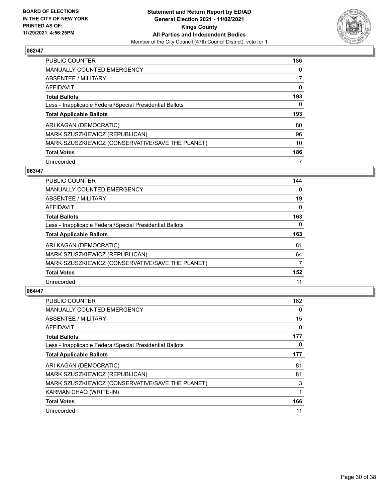

| <b>PUBLIC COUNTER</b>                                    | 186 |
|----------------------------------------------------------|-----|
| <b>MANUALLY COUNTED EMERGENCY</b>                        | 0   |
| ABSENTEE / MILITARY                                      | 7   |
| AFFIDAVIT                                                | 0   |
| <b>Total Ballots</b>                                     | 193 |
| Less - Inapplicable Federal/Special Presidential Ballots | 0   |
|                                                          |     |
| <b>Total Applicable Ballots</b>                          | 193 |
| ARI KAGAN (DEMOCRATIC)                                   | 80  |
| MARK SZUSZKIEWICZ (REPUBLICAN)                           | 96  |
| MARK SZUSZKIEWICZ (CONSERVATIVE/SAVE THE PLANET)         | 10  |
| <b>Total Votes</b>                                       | 186 |

#### **063/47**

| <b>PUBLIC COUNTER</b>                                    | 144      |
|----------------------------------------------------------|----------|
| <b>MANUALLY COUNTED EMERGENCY</b>                        | $\Omega$ |
| ABSENTEE / MILITARY                                      | 19       |
| <b>AFFIDAVIT</b>                                         | $\Omega$ |
| <b>Total Ballots</b>                                     | 163      |
| Less - Inapplicable Federal/Special Presidential Ballots | $\Omega$ |
| <b>Total Applicable Ballots</b>                          | 163      |
| ARI KAGAN (DEMOCRATIC)                                   | 81       |
| MARK SZUSZKIEWICZ (REPUBLICAN)                           | 64       |
| MARK SZUSZKIEWICZ (CONSERVATIVE/SAVE THE PLANET)         | 7        |
| <b>Total Votes</b>                                       | 152      |
| Unrecorded                                               | 11       |

| <b>PUBLIC COUNTER</b>                                    | 162      |
|----------------------------------------------------------|----------|
| <b>MANUALLY COUNTED EMERGENCY</b>                        | 0        |
| ABSENTEE / MILITARY                                      | 15       |
| AFFIDAVIT                                                | 0        |
| <b>Total Ballots</b>                                     | 177      |
| Less - Inapplicable Federal/Special Presidential Ballots | $\Omega$ |
| <b>Total Applicable Ballots</b>                          | 177      |
| ARI KAGAN (DEMOCRATIC)                                   | 81       |
| MARK SZUSZKIEWICZ (REPUBLICAN)                           | 81       |
| MARK SZUSZKIEWICZ (CONSERVATIVE/SAVE THE PLANET)         | 3        |
| KARMAN CHAO (WRITE-IN)                                   |          |
| <b>Total Votes</b>                                       | 166      |
| Unrecorded                                               | 11       |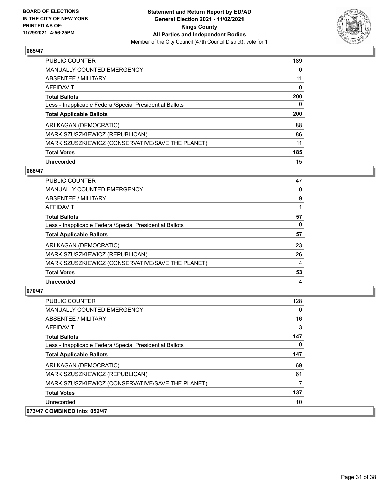

| <b>PUBLIC COUNTER</b>                                    | 189 |
|----------------------------------------------------------|-----|
| <b>MANUALLY COUNTED EMERGENCY</b>                        | 0   |
| ABSENTEE / MILITARY                                      | 11  |
| AFFIDAVIT                                                | 0   |
| <b>Total Ballots</b>                                     | 200 |
| Less - Inapplicable Federal/Special Presidential Ballots | 0   |
| <b>Total Applicable Ballots</b>                          | 200 |
|                                                          |     |
| ARI KAGAN (DEMOCRATIC)                                   | 88  |
| MARK SZUSZKIEWICZ (REPUBLICAN)                           | 86  |
| MARK SZUSZKIEWICZ (CONSERVATIVE/SAVE THE PLANET)         | 11  |
| <b>Total Votes</b>                                       | 185 |

#### **068/47**

| <b>PUBLIC COUNTER</b>                                    | 47 |
|----------------------------------------------------------|----|
| MANUALLY COUNTED EMERGENCY                               | 0  |
| ABSENTEE / MILITARY                                      | 9  |
| AFFIDAVIT                                                |    |
| <b>Total Ballots</b>                                     | 57 |
| Less - Inapplicable Federal/Special Presidential Ballots | 0  |
| <b>Total Applicable Ballots</b>                          | 57 |
| ARI KAGAN (DEMOCRATIC)                                   | 23 |
| MARK SZUSZKIEWICZ (REPUBLICAN)                           | 26 |
| MARK SZUSZKIEWICZ (CONSERVATIVE/SAVE THE PLANET)         | 4  |
| <b>Total Votes</b>                                       | 53 |
| Unrecorded                                               | 4  |

| PUBLIC COUNTER                                           | 128 |
|----------------------------------------------------------|-----|
| <b>MANUALLY COUNTED EMERGENCY</b>                        | 0   |
| ABSENTEE / MILITARY                                      | 16  |
| AFFIDAVIT                                                | 3   |
| <b>Total Ballots</b>                                     | 147 |
| Less - Inapplicable Federal/Special Presidential Ballots | 0   |
| <b>Total Applicable Ballots</b>                          | 147 |
| ARI KAGAN (DEMOCRATIC)                                   | 69  |
| MARK SZUSZKIEWICZ (REPUBLICAN)                           | 61  |
| MARK SZUSZKIEWICZ (CONSERVATIVE/SAVE THE PLANET)         | 7   |
| <b>Total Votes</b>                                       | 137 |
| Unrecorded                                               | 10  |
| 073/47 COMBINED into: 052/47                             |     |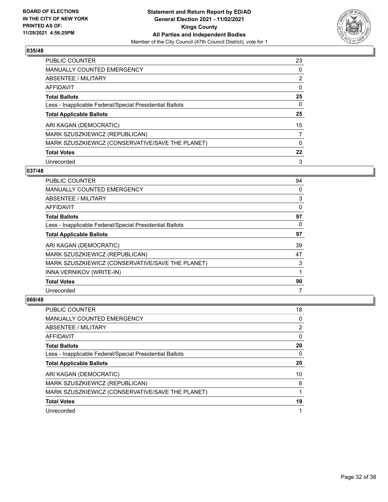

| PUBLIC COUNTER                                           | 23 |
|----------------------------------------------------------|----|
| <b>MANUALLY COUNTED EMERGENCY</b>                        | 0  |
| ABSENTEE / MILITARY                                      | 2  |
| AFFIDAVIT                                                | 0  |
| <b>Total Ballots</b>                                     | 25 |
| Less - Inapplicable Federal/Special Presidential Ballots | 0  |
| <b>Total Applicable Ballots</b>                          | 25 |
| ARI KAGAN (DEMOCRATIC)                                   | 15 |
| MARK SZUSZKIEWICZ (REPUBLICAN)                           |    |
| MARK SZUSZKIEWICZ (CONSERVATIVE/SAVE THE PLANET)         | 0  |
| <b>Total Votes</b>                                       | 22 |
| Unrecorded                                               | 3  |

#### **037/48**

| PUBLIC COUNTER                                           | 94       |
|----------------------------------------------------------|----------|
| MANUALLY COUNTED EMERGENCY                               | 0        |
| ABSENTEE / MILITARY                                      | 3        |
| AFFIDAVIT                                                | 0        |
| <b>Total Ballots</b>                                     | 97       |
| Less - Inapplicable Federal/Special Presidential Ballots | $\Omega$ |
| <b>Total Applicable Ballots</b>                          | 97       |
| ARI KAGAN (DEMOCRATIC)                                   | 39       |
| MARK SZUSZKIEWICZ (REPUBLICAN)                           | 47       |
| MARK SZUSZKIEWICZ (CONSERVATIVE/SAVE THE PLANET)         | 3        |
| INNA VERNIKOV (WRITE-IN)                                 | 1        |
| <b>Total Votes</b>                                       | 90       |
| Unrecorded                                               | 7        |

| <b>PUBLIC COUNTER</b>                                    | 18 |
|----------------------------------------------------------|----|
| <b>MANUALLY COUNTED EMERGENCY</b>                        | 0  |
| ABSENTEE / MILITARY                                      | 2  |
| AFFIDAVIT                                                | 0  |
| <b>Total Ballots</b>                                     | 20 |
| Less - Inapplicable Federal/Special Presidential Ballots | 0  |
| <b>Total Applicable Ballots</b>                          | 20 |
|                                                          |    |
| ARI KAGAN (DEMOCRATIC)                                   | 10 |
| MARK SZUSZKIEWICZ (REPUBLICAN)                           | 8  |
| MARK SZUSZKIEWICZ (CONSERVATIVE/SAVE THE PLANET)         |    |
| <b>Total Votes</b>                                       | 19 |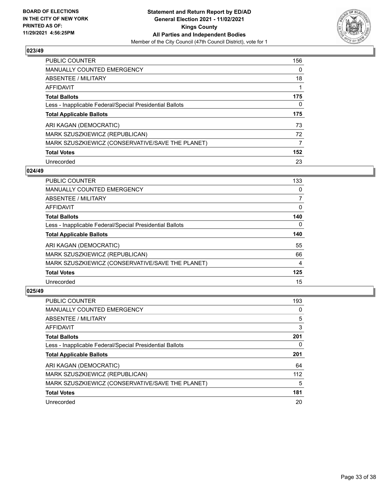

| <b>PUBLIC COUNTER</b>                                    | 156 |
|----------------------------------------------------------|-----|
| <b>MANUALLY COUNTED EMERGENCY</b>                        | 0   |
| ABSENTEE / MILITARY                                      | 18  |
| AFFIDAVIT                                                |     |
| <b>Total Ballots</b>                                     | 175 |
| Less - Inapplicable Federal/Special Presidential Ballots | 0   |
| <b>Total Applicable Ballots</b>                          | 175 |
| ARI KAGAN (DEMOCRATIC)                                   | 73  |
| MARK SZUSZKIEWICZ (REPUBLICAN)                           | 72  |
| MARK SZUSZKIEWICZ (CONSERVATIVE/SAVE THE PLANET)         | 7   |
| <b>Total Votes</b>                                       |     |
|                                                          | 152 |

#### **024/49**

| <b>PUBLIC COUNTER</b>                                    | 133      |
|----------------------------------------------------------|----------|
| <b>MANUALLY COUNTED EMERGENCY</b>                        | 0        |
| ABSENTEE / MILITARY                                      | 7        |
| <b>AFFIDAVIT</b>                                         | $\Omega$ |
| <b>Total Ballots</b>                                     | 140      |
| Less - Inapplicable Federal/Special Presidential Ballots | $\Omega$ |
| <b>Total Applicable Ballots</b>                          | 140      |
| ARI KAGAN (DEMOCRATIC)                                   | 55       |
| MARK SZUSZKIEWICZ (REPUBLICAN)                           | 66       |
| MARK SZUSZKIEWICZ (CONSERVATIVE/SAVE THE PLANET)         | 4        |
| <b>Total Votes</b>                                       | 125      |
| Unrecorded                                               | 15       |

| <b>PUBLIC COUNTER</b>                                    | 193 |
|----------------------------------------------------------|-----|
| <b>MANUALLY COUNTED EMERGENCY</b>                        | 0   |
| ABSENTEE / MILITARY                                      | 5   |
| <b>AFFIDAVIT</b>                                         | 3   |
| <b>Total Ballots</b>                                     | 201 |
| Less - Inapplicable Federal/Special Presidential Ballots | 0   |
| <b>Total Applicable Ballots</b>                          | 201 |
| ARI KAGAN (DEMOCRATIC)                                   | 64  |
| MARK SZUSZKIEWICZ (REPUBLICAN)                           | 112 |
| MARK SZUSZKIEWICZ (CONSERVATIVE/SAVE THE PLANET)         | 5   |
| <b>Total Votes</b>                                       | 181 |
| Unrecorded                                               | 20  |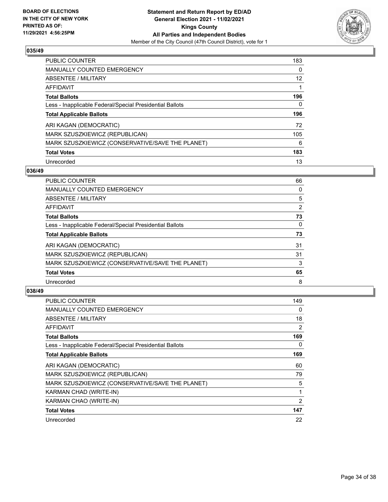

| PUBLIC COUNTER                                           | 183 |
|----------------------------------------------------------|-----|
| <b>MANUALLY COUNTED EMERGENCY</b>                        | 0   |
| ABSENTEE / MILITARY                                      | 12  |
| AFFIDAVIT                                                |     |
| <b>Total Ballots</b>                                     | 196 |
| Less - Inapplicable Federal/Special Presidential Ballots | 0   |
| <b>Total Applicable Ballots</b>                          | 196 |
| ARI KAGAN (DEMOCRATIC)                                   | 72  |
| MARK SZUSZKIEWICZ (REPUBLICAN)                           | 105 |
| MARK SZUSZKIEWICZ (CONSERVATIVE/SAVE THE PLANET)         | 6   |
| <b>Total Votes</b>                                       | 183 |
| Unrecorded                                               | 13  |

#### **036/49**

| <b>PUBLIC COUNTER</b>                                    | 66       |
|----------------------------------------------------------|----------|
| <b>MANUALLY COUNTED EMERGENCY</b>                        | 0        |
| ABSENTEE / MILITARY                                      | 5        |
| <b>AFFIDAVIT</b>                                         | 2        |
| <b>Total Ballots</b>                                     | 73       |
| Less - Inapplicable Federal/Special Presidential Ballots | $\Omega$ |
| <b>Total Applicable Ballots</b>                          | 73       |
| ARI KAGAN (DEMOCRATIC)                                   | 31       |
| MARK SZUSZKIEWICZ (REPUBLICAN)                           | 31       |
| MARK SZUSZKIEWICZ (CONSERVATIVE/SAVE THE PLANET)         | 3        |
| <b>Total Votes</b>                                       | 65       |
| Unrecorded                                               | 8        |

| <b>PUBLIC COUNTER</b>                                    | 149            |
|----------------------------------------------------------|----------------|
| <b>MANUALLY COUNTED EMERGENCY</b>                        | 0              |
| ABSENTEE / MILITARY                                      | 18             |
| AFFIDAVIT                                                | 2              |
| <b>Total Ballots</b>                                     | 169            |
| Less - Inapplicable Federal/Special Presidential Ballots | 0              |
| <b>Total Applicable Ballots</b>                          | 169            |
| ARI KAGAN (DEMOCRATIC)                                   | 60             |
| MARK SZUSZKIEWICZ (REPUBLICAN)                           | 79             |
| MARK SZUSZKIEWICZ (CONSERVATIVE/SAVE THE PLANET)         | 5              |
| KARMAN CHAD (WRITE-IN)                                   | 1              |
| KARMAN CHAO (WRITE-IN)                                   | $\overline{2}$ |
| <b>Total Votes</b>                                       | 147            |
| Unrecorded                                               | 22             |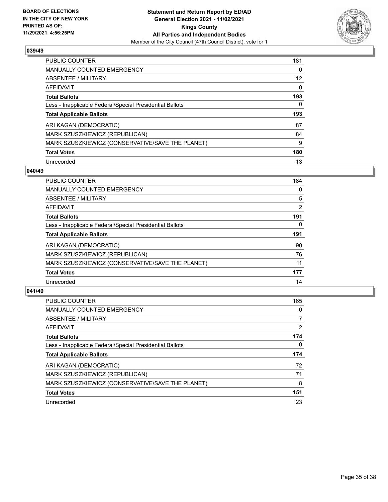

| <b>PUBLIC COUNTER</b>                                    | 181 |
|----------------------------------------------------------|-----|
| <b>MANUALLY COUNTED EMERGENCY</b>                        | 0   |
| ABSENTEE / MILITARY                                      | 12  |
| AFFIDAVIT                                                | 0   |
| <b>Total Ballots</b>                                     | 193 |
| Less - Inapplicable Federal/Special Presidential Ballots | 0   |
|                                                          |     |
| <b>Total Applicable Ballots</b>                          | 193 |
| ARI KAGAN (DEMOCRATIC)                                   | 87  |
| MARK SZUSZKIEWICZ (REPUBLICAN)                           | 84  |
| MARK SZUSZKIEWICZ (CONSERVATIVE/SAVE THE PLANET)         | 9   |
| <b>Total Votes</b>                                       | 180 |

#### **040/49**

| <b>PUBLIC COUNTER</b>                                    | 184 |
|----------------------------------------------------------|-----|
| <b>MANUALLY COUNTED EMERGENCY</b>                        | 0   |
| ABSENTEE / MILITARY                                      | 5   |
| <b>AFFIDAVIT</b>                                         | 2   |
| <b>Total Ballots</b>                                     | 191 |
| Less - Inapplicable Federal/Special Presidential Ballots | 0   |
| <b>Total Applicable Ballots</b>                          | 191 |
| ARI KAGAN (DEMOCRATIC)                                   | 90  |
| MARK SZUSZKIEWICZ (REPUBLICAN)                           | 76  |
| MARK SZUSZKIEWICZ (CONSERVATIVE/SAVE THE PLANET)         | 11  |
| <b>Total Votes</b>                                       | 177 |
| Unrecorded                                               | 14  |

| <b>PUBLIC COUNTER</b>                                    | 165 |
|----------------------------------------------------------|-----|
| <b>MANUALLY COUNTED EMERGENCY</b>                        | 0   |
| ABSENTEE / MILITARY                                      |     |
| AFFIDAVIT                                                | 2   |
| <b>Total Ballots</b>                                     | 174 |
| Less - Inapplicable Federal/Special Presidential Ballots | 0   |
| <b>Total Applicable Ballots</b>                          | 174 |
| ARI KAGAN (DEMOCRATIC)                                   | 72  |
| MARK SZUSZKIEWICZ (REPUBLICAN)                           | 71  |
| MARK SZUSZKIEWICZ (CONSERVATIVE/SAVE THE PLANET)         | 8   |
| <b>Total Votes</b>                                       | 151 |
| Unrecorded                                               | 23  |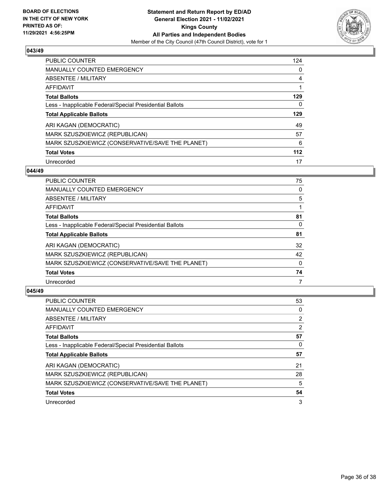

| PUBLIC COUNTER                                           | 124 |
|----------------------------------------------------------|-----|
| <b>MANUALLY COUNTED EMERGENCY</b>                        | 0   |
| ABSENTEE / MILITARY                                      | 4   |
| AFFIDAVIT                                                | 1   |
| <b>Total Ballots</b>                                     | 129 |
| Less - Inapplicable Federal/Special Presidential Ballots | 0   |
| <b>Total Applicable Ballots</b>                          | 129 |
| ARI KAGAN (DEMOCRATIC)                                   | 49  |
|                                                          |     |
| MARK SZUSZKIEWICZ (REPUBLICAN)                           | 57  |
| MARK SZUSZKIEWICZ (CONSERVATIVE/SAVE THE PLANET)         | 6   |
| <b>Total Votes</b>                                       | 112 |

#### **044/49**

| <b>PUBLIC COUNTER</b>                                    | 75       |
|----------------------------------------------------------|----------|
| <b>MANUALLY COUNTED EMERGENCY</b>                        | 0        |
| ABSENTEE / MILITARY                                      | 5        |
| AFFIDAVIT                                                |          |
| <b>Total Ballots</b>                                     | 81       |
| Less - Inapplicable Federal/Special Presidential Ballots | 0        |
| <b>Total Applicable Ballots</b>                          | 81       |
| ARI KAGAN (DEMOCRATIC)                                   | 32       |
| MARK SZUSZKIEWICZ (REPUBLICAN)                           | 42       |
| MARK SZUSZKIEWICZ (CONSERVATIVE/SAVE THE PLANET)         | $\Omega$ |
| <b>Total Votes</b>                                       | 74       |
| Unrecorded                                               | 7        |

| <b>PUBLIC COUNTER</b>                                    | 53 |
|----------------------------------------------------------|----|
| <b>MANUALLY COUNTED EMERGENCY</b>                        | 0  |
| ABSENTEE / MILITARY                                      | 2  |
| AFFIDAVIT                                                | 2  |
| <b>Total Ballots</b>                                     | 57 |
| Less - Inapplicable Federal/Special Presidential Ballots | 0  |
| <b>Total Applicable Ballots</b>                          | 57 |
| ARI KAGAN (DEMOCRATIC)                                   | 21 |
| MARK SZUSZKIEWICZ (REPUBLICAN)                           | 28 |
|                                                          |    |
| MARK SZUSZKIEWICZ (CONSERVATIVE/SAVE THE PLANET)         | 5  |
| <b>Total Votes</b>                                       | 54 |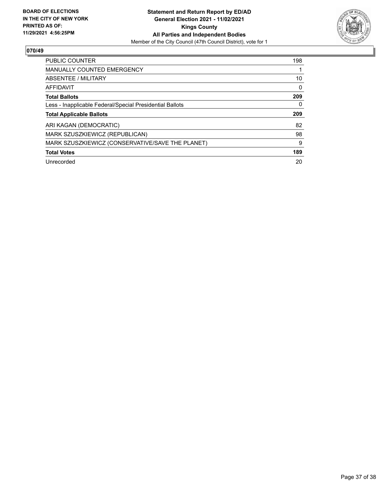

| <b>PUBLIC COUNTER</b>                                    | 198 |
|----------------------------------------------------------|-----|
| MANUALLY COUNTED EMERGENCY                               |     |
| ABSENTEE / MILITARY                                      | 10  |
| AFFIDAVIT                                                | 0   |
| <b>Total Ballots</b>                                     | 209 |
| Less - Inapplicable Federal/Special Presidential Ballots | 0   |
| <b>Total Applicable Ballots</b>                          | 209 |
| ARI KAGAN (DEMOCRATIC)                                   | 82  |
|                                                          |     |
| MARK SZUSZKIEWICZ (REPUBLICAN)                           | 98  |
| MARK SZUSZKIEWICZ (CONSERVATIVE/SAVE THE PLANET)         | 9   |
| <b>Total Votes</b>                                       | 189 |